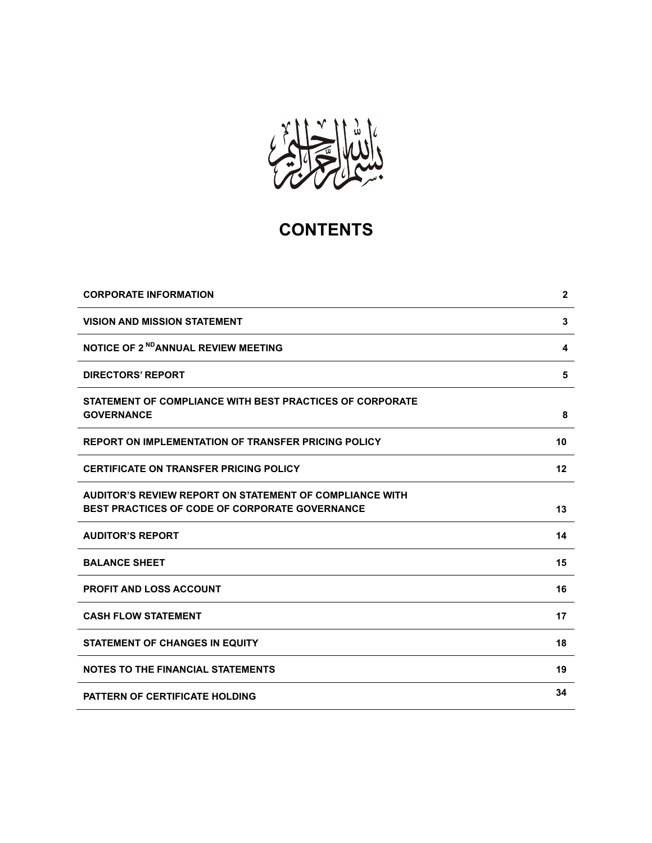

# **CONTENTS**

| <b>CORPORATE INFORMATION</b>                                                                              | $\mathbf 2$ |
|-----------------------------------------------------------------------------------------------------------|-------------|
| <b>VISION AND MISSION STATEMENT</b>                                                                       | 3           |
| NOTICE OF 2 <sup>ND</sup> ANNUAL REVIEW MEETING                                                           | 4           |
| <b>DIRECTORS' REPORT</b>                                                                                  | 5           |
| STATEMENT OF COMPLIANCE WITH BEST PRACTICES OF CORPORATE<br><b>GOVERNANCE</b>                             | 8           |
| <b>REPORT ON IMPLEMENTATION OF TRANSFER PRICING POLICY</b>                                                | 10          |
| <b>CERTIFICATE ON TRANSFER PRICING POLICY</b>                                                             | 12          |
| AUDITOR'S REVIEW REPORT ON STATEMENT OF COMPLIANCE WITH<br>BEST PRACTICES OF CODE OF CORPORATE GOVERNANCE | 13          |
| <b>AUDITOR'S REPORT</b>                                                                                   | 14          |
| <b>BALANCE SHEET</b>                                                                                      | 15          |
| <b>PROFIT AND LOSS ACCOUNT</b>                                                                            | 16          |
| <b>CASH FLOW STATEMENT</b>                                                                                | 17          |
| <b>STATEMENT OF CHANGES IN EQUITY</b>                                                                     | 18          |
| <b>NOTES TO THE FINANCIAL STATEMENTS</b>                                                                  | 19          |
| <b>PATTERN OF CERTIFICATE HOLDING</b>                                                                     | 34          |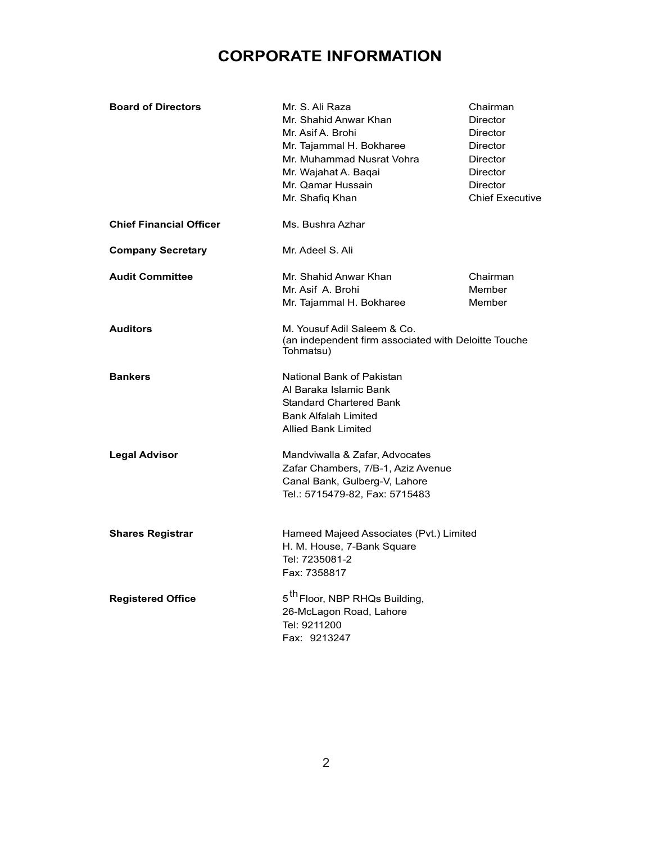# **CORPORATE INFORMATION**

| <b>Board of Directors</b>      | Mr. S. Ali Raza<br>Mr. Shahid Anwar Khan<br>Mr. Asif A. Brohi<br>Mr. Tajammal H. Bokharee<br>Mr. Muhammad Nusrat Vohra<br>Mr. Wajahat A. Baqai<br>Mr. Qamar Hussain<br>Mr. Shafiq Khan | Chairman<br>Director<br>Director<br>Director<br>Director<br>Director<br>Director<br><b>Chief Executive</b> |
|--------------------------------|----------------------------------------------------------------------------------------------------------------------------------------------------------------------------------------|------------------------------------------------------------------------------------------------------------|
| <b>Chief Financial Officer</b> | Ms. Bushra Azhar                                                                                                                                                                       |                                                                                                            |
| <b>Company Secretary</b>       | Mr. Adeel S. Ali                                                                                                                                                                       |                                                                                                            |
| <b>Audit Committee</b>         | Mr. Shahid Anwar Khan<br>Mr. Asif A. Brohi<br>Mr. Tajammal H. Bokharee                                                                                                                 | Chairman<br>Member<br>Member                                                                               |
| <b>Auditors</b>                | M. Yousuf Adil Saleem & Co.<br>(an independent firm associated with Deloitte Touche<br>Tohmatsu)                                                                                       |                                                                                                            |
| <b>Bankers</b>                 | National Bank of Pakistan<br>Al Baraka Islamic Bank<br><b>Standard Chartered Bank</b><br><b>Bank Alfalah Limited</b><br><b>Allied Bank Limited</b>                                     |                                                                                                            |
| <b>Legal Advisor</b>           | Mandviwalla & Zafar, Advocates<br>Zafar Chambers, 7/B-1, Aziz Avenue<br>Canal Bank, Gulberg-V, Lahore<br>Tel.: 5715479-82, Fax: 5715483                                                |                                                                                                            |
| <b>Shares Registrar</b>        | Hameed Majeed Associates (Pvt.) Limited<br>H. M. House, 7-Bank Square<br>Tel: 7235081-2<br>Fax: 7358817                                                                                |                                                                                                            |
| <b>Registered Office</b>       | 5 <sup>th</sup> Floor, NBP RHQs Building,<br>26-McLagon Road, Lahore<br>Tel: 9211200<br>Fax: 9213247                                                                                   |                                                                                                            |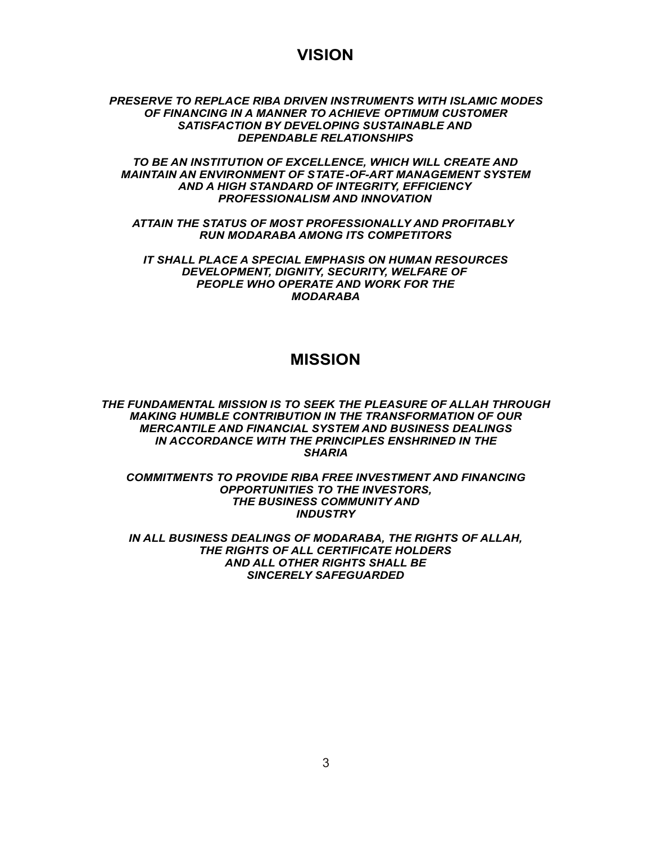# **VISION**

# *PRESERVE TO REPLACE RIBA DRIVEN INSTRUMENTS WITH ISLAMIC MODES OF FINANCING IN A MANNER TO ACHIEVE OPTIMUM CUSTOMER SATISFACTION BY DEVELOPING SUSTAINABLE AND DEPENDABLE RELATIONSHIPS*

*TO BE AN INSTITUTION OF EXCELLENCE, WHICH WILL CREATE AND MAINTAIN AN ENVIRONMENT OF STATE-OF-ART MANAGEMENT SYSTEM AND A HIGH STANDARD OF INTEGRITY, EFFICIENCY PROFESSIONALISM AND INNOVATION*

**<sup>O</sup>NA<sup>L</sup> <sup>B</sup>AN<sup>K</sup> <sup>M</sup>** *ATTAIN THE STATUS OF MOST PROFESSIONALLY AND PROFITABLY RUN MODARABA AMONG ITS COMPETITORS*

**T<sup>I</sup> O** *IT SHALL PLACE A SPECIAL EMPHASIS ON HUMAN RESOURCES* **A D** *DEVELOPMENT, DIGNITY, SECURITY, WELFARE OF* **N***PEOPLE WHO OPERATE AND WORK FOR THE* **AR** *MODARABA*

# **MISSION**

**F A** *THE FUNDAMENTAL MISSION IS TO SEEK THE PLEASURE OF ALLAH THROUGH* **INDAMENTAL MISSION IS TO SELR THE FELASORE OF ALLATT THING AKING HUMBLE CONTRIBUTION IN THE TRANSFORMATION OF OU<br>MERCANTILE AND FINANCIAL SYSTEM AND BUSINESS DEALINGS<br>IN ACCORDANCE WITH THE PRINCIPLES ENSHRINED IN THE** NTILI<br>COR **B***MAKING HUMBLE CONTRIBUTION IN THE TRANSFORMATION OF OUR* **T R***IN ACCORDANCE WITH THE PRINCIPLES ENSHRINED IN THE* **A** *SHARIA*

-<br>S TO **TO P T O***OPPORTUNITIES TO THE INVESTORS,* **D***COMMITMENTS TO PROVIDE RIBA FREE INVESTMENT AND FINANCING* **I**<br> **I**<br> **I**<br> **BUSINI** non<br>MD **<sup>A</sup><sup>L</sup> <sup>B</sup>ANK** *THE BUSINESS COMMUNITY AND INDUSTRY*

*IN ALL BUSINESS DEALINGS OF MODARABA, THE RIGHTS OF ALLAH, THE RIGHTS OF ALL CERTIFICATE HOLDERS AND ALL OTHER RIGHTS SHALL BE SINCERELY SAFEGUARDED*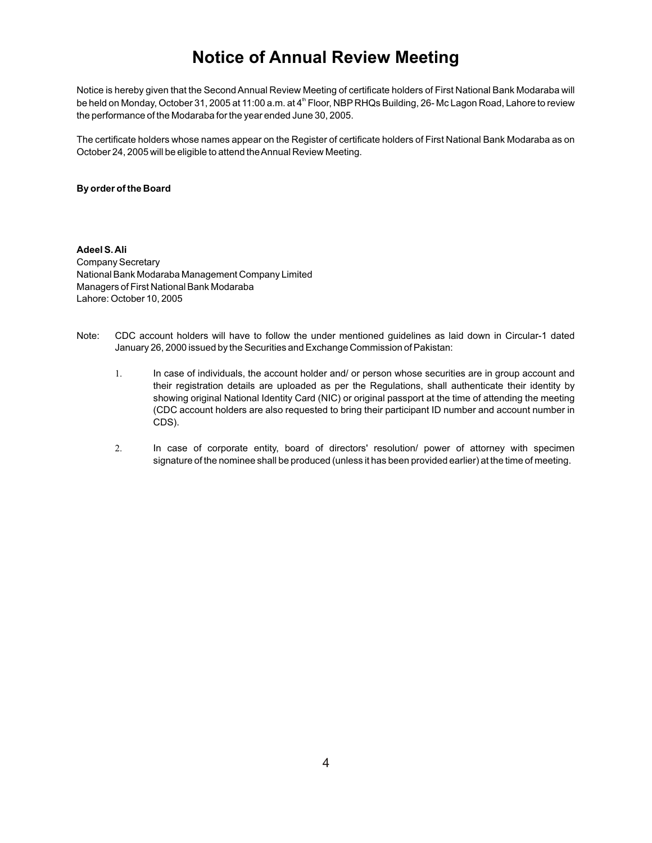# **Notice of Annual Review Meeting**

Notice is hereby given that the Second Annual Review Meeting of certificate holders of First National Bank Modaraba will be held on Monday, October 31, 2005 at 11:00 a.m. at 4<sup>th</sup> Floor, NBP RHQs Building, 26- Mc Lagon Road, Lahore to review the performance of the Modaraba for the year ended June 30, 2005.

The certificate holders whose names appear on the Register of certificate holders of First National Bank Modaraba as on October 24, 2005 will be eligible to attend the Annual Review Meeting.

## **By order of the Board**

**Adeel S. Ali** Company Secretary National Bank Modaraba Management Company Limited Managers of First National Bank Modaraba Lahore: October 10, 2005

Note: CDC account holders will have to follow the under mentioned guidelines as laid down in Circular-1 dated January 26, 2000 issued by the Securities and Exchange Commission of Pakistan:

> In case of individuals, the account holder and/ or person whose securities are in group account and their registration details are uploaded as per the Regulations, shall authenticate their identity by showing original National Identity Card (NIC) or original passport at the time of attending the meeting (CDC account holders are also requested to bring their participant ID number and account number in CDS).

> 2. In case of corporate entity, board of directors' resolution/ power of attorney with specimen signature of the nominee shall be produced (unless it has been provided earlier) at the time of meeting.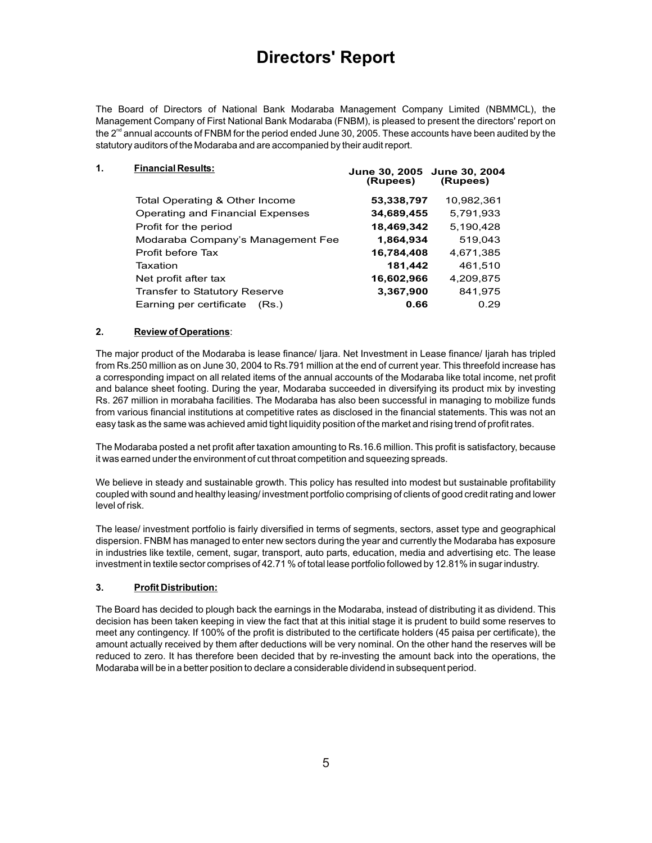# **Directors' Report**

The Board of Directors of National Bank Modaraba Management Company Limited (NBMMCL), the Management Company of First National Bank Modaraba (FNBM), is pleased to present the directors' report on the  $2<sup>nd</sup>$  annual accounts of FNBM for the period ended June 30, 2005. These accounts have been audited by the statutory auditors of the Modaraba and are accompanied by their audit report.

| 1. | <b>Financial Results:</b>            | June 30, 2005 June 30, 2004<br>(Rupees) | (Rupees)   |
|----|--------------------------------------|-----------------------------------------|------------|
|    | Total Operating & Other Income       | 53,338,797                              | 10,982,361 |
|    | Operating and Financial Expenses     | 34,689,455                              | 5,791,933  |
|    | Profit for the period                | 18,469,342                              | 5,190,428  |
|    | Modaraba Company's Management Fee    | 1,864,934                               | 519,043    |
|    | Profit before Tax                    | 16,784,408                              | 4.671.385  |
|    | Taxation                             | 181,442                                 | 461,510    |
|    | Net profit after tax                 | 16,602,966                              | 4,209,875  |
|    | <b>Transfer to Statutory Reserve</b> | 3,367,900                               | 841,975    |
|    | Earning per certificate<br>(Rs.)     | 0.66                                    | 0.29       |
|    |                                      |                                         |            |

# **2. Review of Operations**:

The major product of the Modaraba is lease finance/ Ijara. Net Investment in Lease finance/ Ijarah has tripled from Rs.250 million as on June 30, 2004 to Rs.791 million at the end of current year. This threefold increase has a corresponding impact on all related items of the annual accounts of the Modaraba like total income, net profit and balance sheet footing. During the year, Modaraba succeeded in diversifying its product mix by investing Rs. 267 million in morabaha facilities. The Modaraba has also been successful in managing to mobilize funds from various financial institutions at competitive rates as disclosed in the financial statements. This was not an easy task as the same was achieved amid tight liquidity position of the market and rising trend of profit rates.

The Modaraba posted a net profit after taxation amounting to Rs.16.6 million. This profit is satisfactory, because it was earned under the environment of cut throat competition and squeezing spreads.

We believe in steady and sustainable growth. This policy has resulted into modest but sustainable profitability coupled with sound and healthy leasing/ investment portfolio comprising of clients of good credit rating and lower level of risk.

The lease/ investment portfolio is fairly diversified in terms of segments, sectors, asset type and geographical dispersion. FNBM has managed to enter new sectors during the year and currently the Modaraba has exposure in industries like textile, cement, sugar, transport, auto parts, education, media and advertising etc. The lease investment in textile sector comprises of 42.71 % of total lease portfolio followed by 12.81% in sugar industry.

# **3. Profit Distribution:**

The Board has decided to plough back the earnings in the Modaraba, instead of distributing it as dividend. This decision has been taken keeping in view the fact that at this initial stage it is prudent to build some reserves to meet any contingency. If 100% of the profit is distributed to the certificate holders (45 paisa per certificate), the amount actually received by them after deductions will be very nominal. On the other hand the reserves will be reduced to zero. It has therefore been decided that by re-investing the amount back into the operations, the Modaraba will be in a better position to declare a considerable dividend in subsequent period.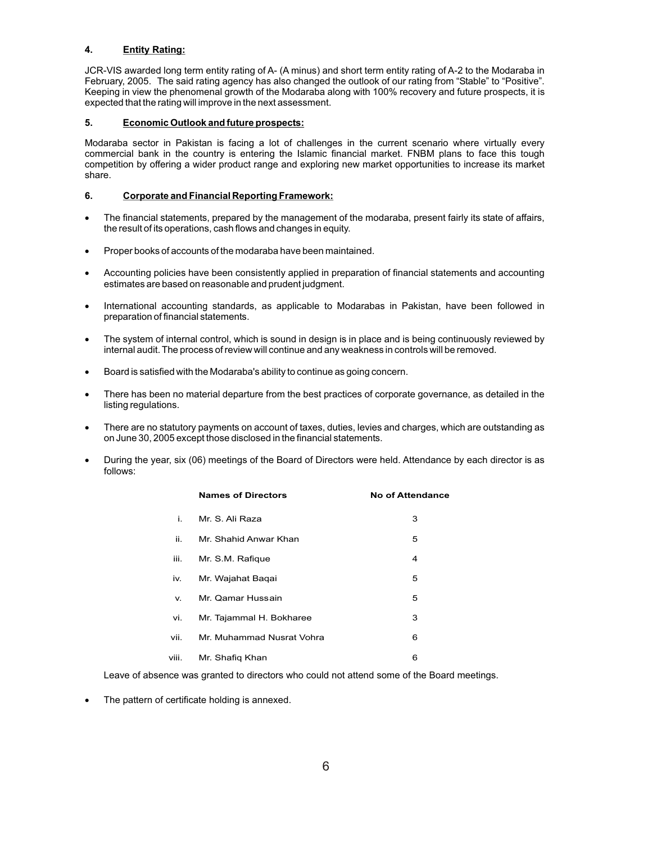# **4. Entity Rating:**

JCR-VIS awarded long term entity rating of A- (A minus) and short term entity rating of A-2 to the Modaraba in February, 2005. The said rating agency has also changed the outlook of our rating from "Stable" to "Positive". Keeping in view the phenomenal growth of the Modaraba along with 100% recovery and future prospects, it is expected that the rating will improve in the next assessment.

## **5. Economic Outlook and future prospects:**

Modaraba sector in Pakistan is facing a lot of challenges in the current scenario where virtually every commercial bank in the country is entering the Islamic financial market. FNBM plans to face this tough competition by offering a wider product range and exploring new market opportunities to increase its market share.

## **6. Corporate and Financial Reporting Framework:**

The financial statements, prepared by the management of the modaraba, present fairly its state of affairs, the result of its operations, cash flows and changes in equity.

Proper books of accounts of the modaraba have been maintained.

Accounting policies have been consistently applied in preparation of financial statements and accounting estimates are based on reasonable and prudent judgment.

International accounting standards, as applicable to Modarabas in Pakistan, have been followed in preparation of financial statements.

The system of internal control, which is sound in design is in place and is being continuously reviewed by internal audit. The process of review will continue and any weakness in controls will be removed.

Board is satisfied with the Modaraba's ability to continue as going concern.

There has been no material departure from the best practices of corporate governance, as detailed in the listing regulations.

There are no statutory payments on account of taxes, duties, levies and charges, which are outstanding as on June 30, 2005 except those disclosed in the financial statements.

During the year, six (06) meetings of the Board of Directors were held. Attendance by each director is as follows:

|       | <b>Names of Directors</b> | <b>No of Attendance</b> |
|-------|---------------------------|-------------------------|
| i.    | Mr. S. Ali Raza           | З                       |
| ii.   | Mr. Shahid Anwar Khan     | 5                       |
| iii.  | Mr. S.M. Rafique          | 4                       |
| iv.   | Mr. Wajahat Baqai         | 5                       |
| v.    | Mr. Qamar Hussain         | 5                       |
| vi.   | Mr. Tajammal H. Bokharee  | 3                       |
| vii.  | Mr. Muhammad Nusrat Vohra | 6                       |
| viii. | Mr. Shafiq Khan           | 6                       |

Leave of absence was granted to directors who could not attend some of the Board meetings.

The pattern of certificate holding is annexed.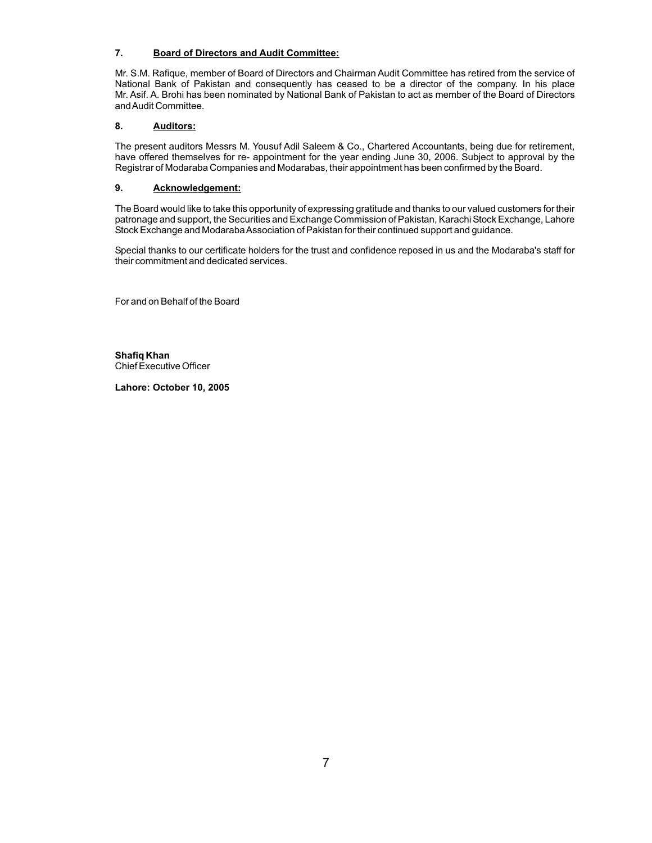# **7. Board of Directors and Audit Committee:**

Mr. S.M. Rafique, member of Board of Directors and Chairman Audit Committee has retired from the service of National Bank of Pakistan and consequently has ceased to be a director of the company. In his place Mr. Asif. A. Brohi has been nominated by National Bank of Pakistan to act as member of the Board of Directors and Audit Committee.

# **8. Auditors:**

The present auditors Messrs M. Yousuf Adil Saleem & Co., Chartered Accountants, being due for retirement, have offered themselves for re- appointment for the year ending June 30, 2006. Subject to approval by the Registrar of Modaraba Companies and Modarabas, their appointment has been confirmed by the Board.

# **9. Acknowledgement:**

The Board would like to take this opportunity of expressing gratitude and thanks to our valued customers for their patronage and support, the Securities and Exchange Commission of Pakistan, Karachi Stock Exchange, Lahore Stock Exchange and Modaraba Association of Pakistan for their continued support and guidance.

Special thanks to our certificate holders for the trust and confidence reposed in us and the Modaraba's staff for their commitment and dedicated services.

For and on Behalf of the Board

**Shafiq Khan** Chief Executive Officer

**Lahore: October 10, 2005**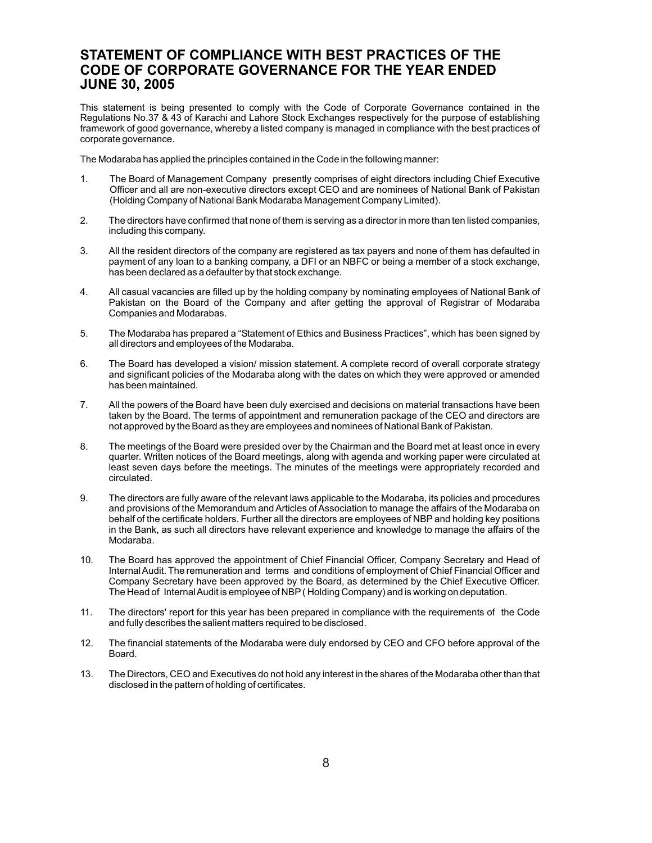# **STATEMENT OF COMPLIANCE WITH BEST PRACTICES OF THE CODE OF CORPORATE GOVERNANCE FOR THE YEAR ENDED JUNE 30, 2005**

This statement is being presented to comply with the Code of Corporate Governance contained in the Regulations No.37 & 43 of Karachi and Lahore Stock Exchanges respectively for the purpose of establishing framework of good governance, whereby a listed company is managed in compliance with the best practices of corporate governance.

The Modaraba has applied the principles contained in the Code in the following manner:

- 1. The Board of Management Company presently comprises of eight directors including Chief Executive Officer and all are non-executive directors except CEO and are nominees of National Bank of Pakistan (Holding Company of National Bank Modaraba Management Company Limited).
- 2. The directors have confirmed that none of them is serving as a director in more than ten listed companies, including this company.
- 3. All the resident directors of the company are registered as tax payers and none of them has defaulted in payment of any loan to a banking company, a DFI or an NBFC or being a member of a stock exchange, has been declared as a defaulter by that stock exchange.
- 4. All casual vacancies are filled up by the holding company by nominating employees of National Bank of Pakistan on the Board of the Company and after getting the approval of Registrar of Modaraba Companies and Modarabas.
- 5. The Modaraba has prepared a "Statement of Ethics and Business Practices", which has been signed by all directors and employees of the Modaraba.
- 6. The Board has developed a vision/ mission statement. A complete record of overall corporate strategy and significant policies of the Modaraba along with the dates on which they were approved or amended has been maintained.
- 7. All the powers of the Board have been duly exercised and decisions on material transactions have been taken by the Board. The terms of appointment and remuneration package of the CEO and directors are not approved by the Board as they are employees and nominees of National Bank of Pakistan.
- 8. The meetings of the Board were presided over by the Chairman and the Board met at least once in every quarter. Written notices of the Board meetings, along with agenda and working paper were circulated at least seven days before the meetings. The minutes of the meetings were appropriately recorded and circulated.
- 9. The directors are fully aware of the relevant laws applicable to the Modaraba, its policies and procedures and provisions of the Memorandum and Articles of Association to manage the affairs of the Modaraba on behalf of the certificate holders. Further all the directors are employees of NBP and holding key positions in the Bank, as such all directors have relevant experience and knowledge to manage the affairs of the Modaraba.
- 10. The Board has approved the appointment of Chief Financial Officer, Company Secretary and Head of Internal Audit. The remuneration and terms and conditions of employment of Chief Financial Officer and Company Secretary have been approved by the Board, as determined by the Chief Executive Officer. The Head of Internal Audit is employee of NBP ( Holding Company) and is working on deputation.
- 11. The directors' report for this year has been prepared in compliance with the requirements of the Code and fully describes the salient matters required to be disclosed.
- 12. The financial statements of the Modaraba were duly endorsed by CEO and CFO before approval of the Board.
- 13. The Directors, CEO and Executives do not hold any interest in the shares of the Modaraba other than that disclosed in the pattern of holding of certificates.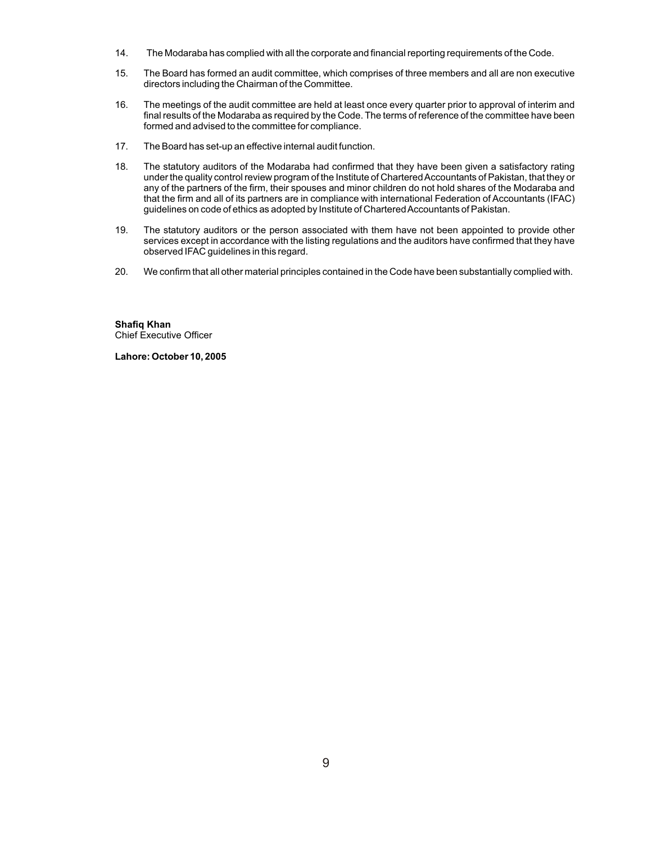- 14. The Modaraba has complied with all the corporate and financial reporting requirements of the Code.
- 15. The Board has formed an audit committee, which comprises of three members and all are non executive directors including the Chairman of the Committee.
- 16. The meetings of the audit committee are held at least once every quarter prior to approval of interim and final results of the Modaraba as required by the Code. The terms of reference of the committee have been formed and advised to the committee for compliance.
- 17. The Board has set-up an effective internal audit function.
- 18. The statutory auditors of the Modaraba had confirmed that they have been given a satisfactory rating under the quality control review program of the Institute of Chartered Accountants of Pakistan, that they or any of the partners of the firm, their spouses and minor children do not hold shares of the Modaraba and that the firm and all of its partners are in compliance with international Federation of Accountants (IFAC) guidelines on code of ethics as adopted by Institute of Chartered Accountants of Pakistan.
- 19. The statutory auditors or the person associated with them have not been appointed to provide other services except in accordance with the listing regulations and the auditors have confirmed that they have observed IFAC guidelines in this regard.
- 20. We confirm that all other material principles contained in the Code have been substantially complied with.

**Shafiq Khan** Chief Executive Officer

**Lahore: October 10, 2005**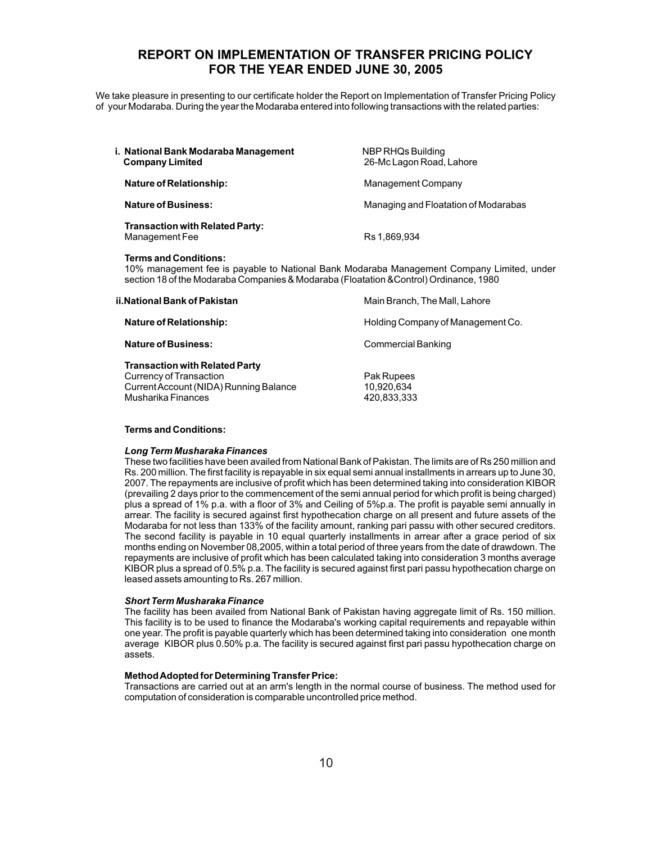# **REPORT ON IMPLEMENTATION OF TRANSFER PRICING POLICY FOR THE YEAR ENDED JUNE 30, 2005**

We take pleasure in presenting to our certificate holder the Report on Implementation of Transfer Pricing Policy of your Modaraba. During the year the Modaraba entered into following transactions with the related parties:

| i. National Bank Modaraba Management<br><b>Company Limited</b> | NBP RHQs Building<br>26-Mc Lagon Road, Lahore |
|----------------------------------------------------------------|-----------------------------------------------|
| <b>Nature of Relationship:</b>                                 | Management Company                            |
| <b>Nature of Business:</b>                                     | Managing and Floatation of Modarabas          |
| <b>Transaction with Related Party:</b><br>Management Fee       | Rs 1.869.934                                  |
| Terms and Conditions:                                          |                                               |

10% management fee is payable to National Bank Modaraba Management Company Limited, under section 18 of the Modaraba Companies & Modaraba (Floatation &Control) Ordinance, 1980

| ii.National Bank of Pakistan                                                                                                     | Main Branch, The Mall, Lahore           |
|----------------------------------------------------------------------------------------------------------------------------------|-----------------------------------------|
| <b>Nature of Relationship:</b>                                                                                                   | Holding Company of Management Co.       |
| <b>Nature of Business:</b>                                                                                                       | <b>Commercial Banking</b>               |
| <b>Transaction with Related Party</b><br>Currency of Transaction<br>Current Account (NIDA) Running Balance<br>Musharika Finances | Pak Rupees<br>10,920,634<br>420,833,333 |

#### **Terms and Conditions:**

#### *Long Term Musharaka Finances*

These two facilities have been availed from National Bank of Pakistan. The limits are of Rs 250 million and Rs. 200 million. The first facility is repayable in six equal semi annual installments in arrears up to June 30, 2007. The repayments are inclusive of profit which has been determined taking into consideration KIBOR (prevailing 2 days prior to the commencement of the semi annual period for which profit is being charged) plus a spread of 1% p.a. with a floor of 3% and Ceiling of 5%p.a. The profit is payable semi annually in arrear. The facility is secured against first hypothecation charge on all present and future assets of the Modaraba for not less than 133% of the facility amount, ranking pari passu with other secured creditors. The second facility is payable in 10 equal quarterly installments in arrear after a grace period of six months ending on November 08,2005, within a total period of three years from the date of drawdown. The repayments are inclusive of profit which has been calculated taking into consideration 3 months average KIBOR plus a spread of 0.5% p.a. The facility is secured against first pari passu hypothecation charge on leased assets amounting to Rs. 267 million.

#### *Short Term Musharaka Finance*

The facility has been availed from National Bank of Pakistan having aggregate limit of Rs. 150 million. This facility is to be used to finance the Modaraba's working capital requirements and repayable within one year. The profit is payable quarterly which has been determined taking into consideration one month average KIBOR plus 0.50% p.a. The facility is secured against first pari passu hypothecation charge on assets.

#### **Method Adopted for Determining Transfer Price:**

Transactions are carried out at an arm's length in the normal course of business. The method used for computation of consideration is comparable uncontrolled price method.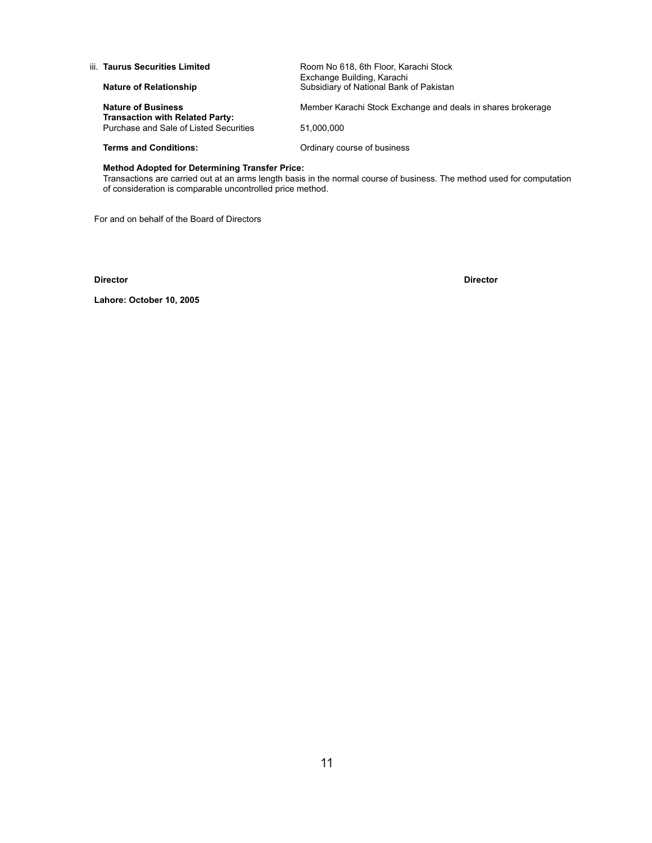| iii. Taurus Securities Limited                                      | Room No 618, 6th Floor, Karachi Stock                                 |
|---------------------------------------------------------------------|-----------------------------------------------------------------------|
| <b>Nature of Relationship</b>                                       | Exchange Building, Karachi<br>Subsidiary of National Bank of Pakistan |
| <b>Nature of Business</b><br><b>Transaction with Related Party:</b> | Member Karachi Stock Exchange and deals in shares brokerage           |
| Purchase and Sale of Listed Securities                              | 51.000.000                                                            |
| <b>Terms and Conditions:</b>                                        | Ordinary course of business                                           |
|                                                                     |                                                                       |

#### **Method Adopted for Determining Transfer Price:**

Transactions are carried out at an arms length basis in the normal course of business. The method used for computation of consideration is comparable uncontrolled price method.

For and on behalf of the Board of Directors

**Director Director**

**Lahore: October 10, 2005**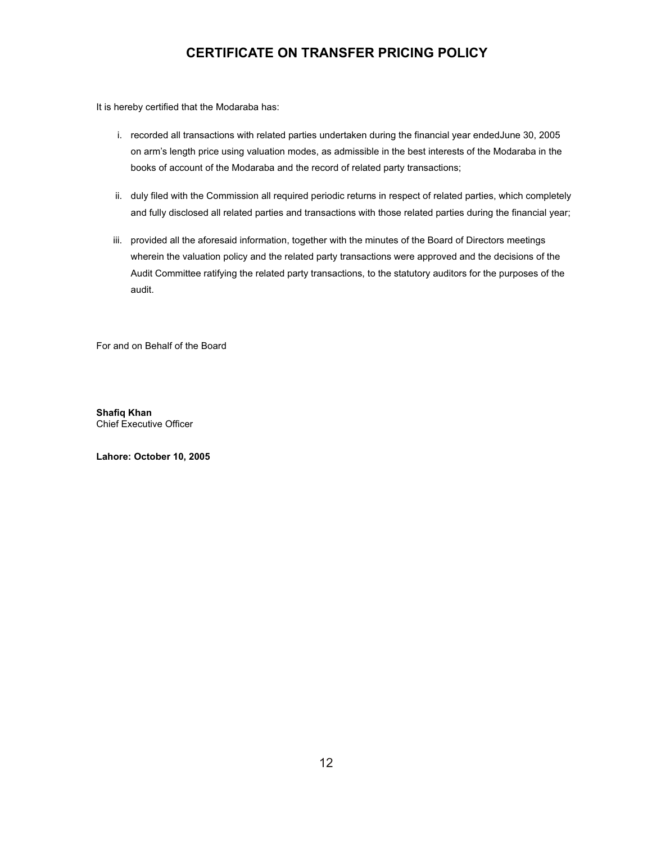# **CERTIFICATE ON TRANSFER PRICING POLICY**

It is hereby certified that the Modaraba has:

- i. recorded all transactions with related parties undertaken during the financial year endedJune 30, 2005 on arm's length price using valuation modes, as admissible in the best interests of the Modaraba in the books of account of the Modaraba and the record of related party transactions;
- ii. duly filed with the Commission all required periodic returns in respect of related parties, which completely and fully disclosed all related parties and transactions with those related parties during the financial year;
- iii. provided all the aforesaid information, together with the minutes of the Board of Directors meetings wherein the valuation policy and the related party transactions were approved and the decisions of the Audit Committee ratifying the related party transactions, to the statutory auditors for the purposes of the audit.

For and on Behalf of the Board

**Shafiq Khan** Chief Executive Officer

**Lahore: October 10, 2005**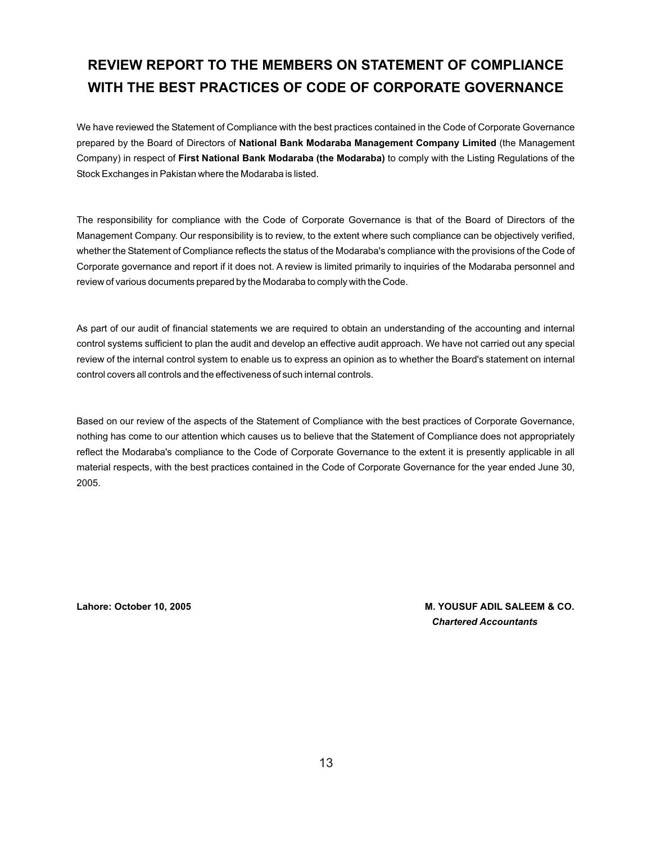# **REVIEW REPORT TO THE MEMBERS ON STATEMENT OF COMPLIANCE WITH THE BEST PRACTICES OF CODE OF CORPORATE GOVERNANCE**

We have reviewed the Statement of Compliance with the best practices contained in the Code of Corporate Governance prepared by the Board of Directors of **National Bank Modaraba Management Company Limited** (the Management Company) in respect of **First National Bank Modaraba (the Modaraba)** to comply with the Listing Regulations of the Stock Exchanges in Pakistan where the Modaraba is listed.

The responsibility for compliance with the Code of Corporate Governance is that of the Board of Directors of the Management Company. Our responsibility is to review, to the extent where such compliance can be objectively verified, whether the Statement of Compliance reflects the status of the Modaraba's compliance with the provisions of the Code of Corporate governance and report if it does not. A review is limited primarily to inquiries of the Modaraba personnel and review of various documents prepared by the Modaraba to comply with the Code.

As part of our audit of financial statements we are required to obtain an understanding of the accounting and internal control systems sufficient to plan the audit and develop an effective audit approach. We have not carried out any special review of the internal control system to enable us to express an opinion as to whether the Board's statement on internal control covers all controls and the effectiveness of such internal controls.

Based on our review of the aspects of the Statement of Compliance with the best practices of Corporate Governance, nothing has come to our attention which causes us to believe that the Statement of Compliance does not appropriately reflect the Modaraba's compliance to the Code of Corporate Governance to the extent it is presently applicable in all material respects, with the best practices contained in the Code of Corporate Governance for the year ended June 30, 2005.

**Lahore: October 10, 2005 M. YOUSUF ADIL SALEEM & CO.** *Chartered Accountants*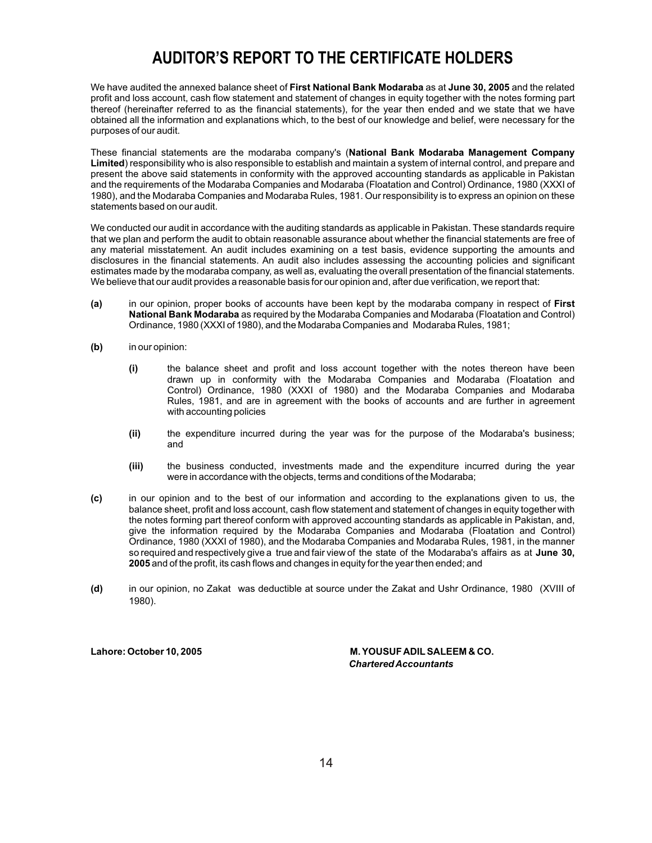# **AUDITOR'S REPORT TO THE CERTIFICATE HOLDERS**

We have audited the annexed balance sheet of **First National Bank Modaraba** as at **June 30, 2005** and the related profit and loss account, cash flow statement and statement of changes in equity together with the notes forming part thereof (hereinafter referred to as the financial statements), for the year then ended and we state that we have obtained all the information and explanations which, to the best of our knowledge and belief, were necessary for the purposes of our audit.

These financial statements are the modaraba company's (**National Bank Modaraba Management Company Limited**) responsibility who is also responsible to establish and maintain a system of internal control, and prepare and present the above said statements in conformity with the approved accounting standards as applicable in Pakistan and the requirements of the Modaraba Companies and Modaraba (Floatation and Control) Ordinance, 1980 (XXXI of 1980), and the Modaraba Companies and Modaraba Rules, 1981. Our responsibility is to express an opinion on these statements based on our audit.

We conducted our audit in accordance with the auditing standards as applicable in Pakistan. These standards require that we plan and perform the audit to obtain reasonable assurance about whether the financial statements are free of any material misstatement. An audit includes examining on a test basis, evidence supporting the amounts and disclosures in the financial statements. An audit also includes assessing the accounting policies and significant estimates made by the modaraba company, as well as, evaluating the overall presentation of the financial statements. We believe that our audit provides a reasonable basis for our opinion and, after due verification, we report that:

- **(a)** in our opinion, proper books of accounts have been kept by the modaraba company in respect of **First National Bank Modaraba** as required by the Modaraba Companies and Modaraba (Floatation and Control) Ordinance, 1980 (XXXI of 1980), and the Modaraba Companies and Modaraba Rules, 1981;
- **(b)** in our opinion:
	- **(i)** the balance sheet and profit and loss account together with the notes thereon have been drawn up in conformity with the Modaraba Companies and Modaraba (Floatation and Control) Ordinance, 1980 (XXXI of 1980) and the Modaraba Companies and Modaraba Rules, 1981, and are in agreement with the books of accounts and are further in agreement with accounting policies
	- **(ii)** the expenditure incurred during the year was for the purpose of the Modaraba's business; and
	- **(iii)** the business conducted, investments made and the expenditure incurred during the year were in accordance with the objects, terms and conditions of the Modaraba;
- **(c)** in our opinion and to the best of our information and according to the explanations given to us, the balance sheet, profit and loss account, cash flow statement and statement of changes in equity together with the notes forming part thereof conform with approved accounting standards as applicable in Pakistan, and, give the information required by the Modaraba Companies and Modaraba (Floatation and Control) Ordinance, 1980 (XXXI of 1980), and the Modaraba Companies and Modaraba Rules, 1981, in the manner so required and respectively give a true and fair view of the state of the Modaraba's affairs as at **June 30, 2005** and of the profit, its cash flows and changes in equity for the year then ended; and
- **(d)** in our opinion, no Zakat was deductible at source under the Zakat and Ushr Ordinance, 1980 (XVIII of 1980).

Lahore: October 10, 2005 **M. YOUSUF ADIL SALEEM & CO.**  *Chartered Accountants*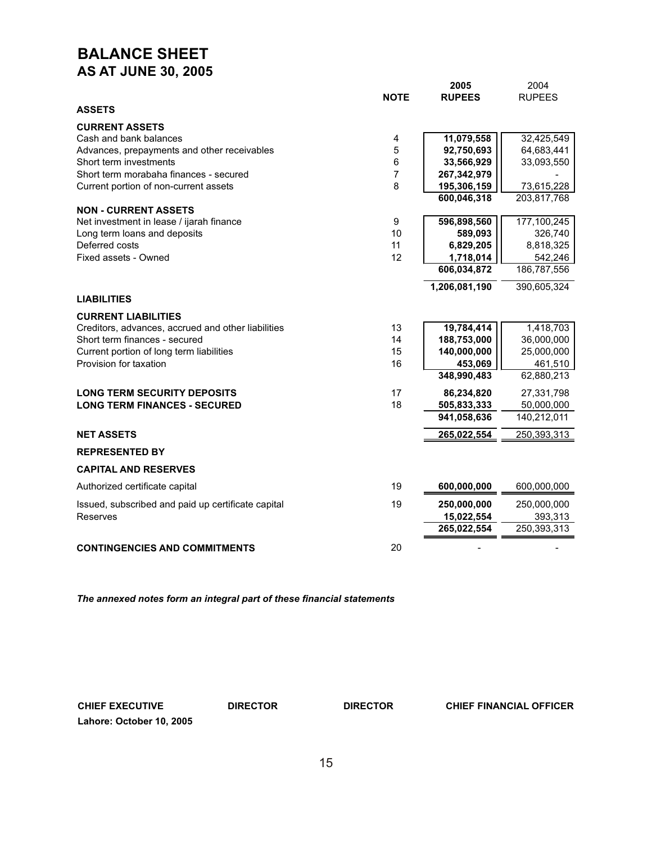# **BALANCE SHEET AS AT JUNE 30, 2005**

|                                                                         | <b>NOTE</b>    | 2005<br><b>RUPEES</b> | 2004<br><b>RUPEES</b> |
|-------------------------------------------------------------------------|----------------|-----------------------|-----------------------|
| <b>ASSETS</b>                                                           |                |                       |                       |
| <b>CURRENT ASSETS</b>                                                   |                |                       |                       |
| Cash and bank balances                                                  | 4              | 11,079,558            | 32,425,549            |
| Advances, prepayments and other receivables                             | 5              | 92,750,693            | 64,683,441            |
| Short term investments                                                  | 6              | 33,566,929            | 33,093,550            |
| Short term morabaha finances - secured                                  | $\overline{7}$ | 267,342,979           |                       |
| Current portion of non-current assets                                   | 8              | 195,306,159           | 73,615,228            |
|                                                                         |                | 600,046,318           | 203,817,768           |
| <b>NON - CURRENT ASSETS</b><br>Net investment in lease / ijarah finance | 9              | 596,898,560           | 177,100,245           |
| Long term loans and deposits                                            | 10             | 589,093               | 326,740               |
| Deferred costs                                                          | 11             | 6,829,205             | 8,818,325             |
| Fixed assets - Owned                                                    | 12             | 1,718,014             | 542,246               |
|                                                                         |                | 606,034,872           | 186,787,556           |
|                                                                         |                | 1,206,081,190         | 390,605,324           |
| <b>LIABILITIES</b>                                                      |                |                       |                       |
| <b>CURRENT LIABILITIES</b>                                              |                |                       |                       |
| Creditors, advances, accrued and other liabilities                      | 13             | 19,784,414            | 1,418,703             |
| Short term finances - secured                                           | 14             | 188,753,000           | 36,000,000            |
| Current portion of long term liabilities                                | 15             | 140,000,000           | 25,000,000            |
| Provision for taxation                                                  | 16             | 453,069               | 461,510               |
|                                                                         |                | 348,990,483           | 62,880,213            |
| <b>LONG TERM SECURITY DEPOSITS</b>                                      | 17             | 86,234,820            | 27,331,798            |
| <b>LONG TERM FINANCES - SECURED</b>                                     | 18             | 505,833,333           | 50,000,000            |
|                                                                         |                | 941,058,636           | 140,212,011           |
| <b>NET ASSETS</b>                                                       |                | 265,022,554           | 250,393,313           |
| <b>REPRESENTED BY</b>                                                   |                |                       |                       |
| <b>CAPITAL AND RESERVES</b>                                             |                |                       |                       |
| Authorized certificate capital                                          | 19             | 600,000,000           | 600,000,000           |
| Issued, subscribed and paid up certificate capital                      | 19             | 250,000,000           | 250,000,000           |
| Reserves                                                                |                | 15,022,554            | 393,313               |
|                                                                         |                | 265,022,554           | 250,393,313           |
| <b>CONTINGENCIES AND COMMITMENTS</b>                                    | 20             |                       |                       |

*The annexed notes form an integral part of these financial statements*

**Lahore: October 10, 2005**

**CHIEF EXECUTIVE DIRECTOR DIRECTOR CHIEF FINANCIAL OFFICER**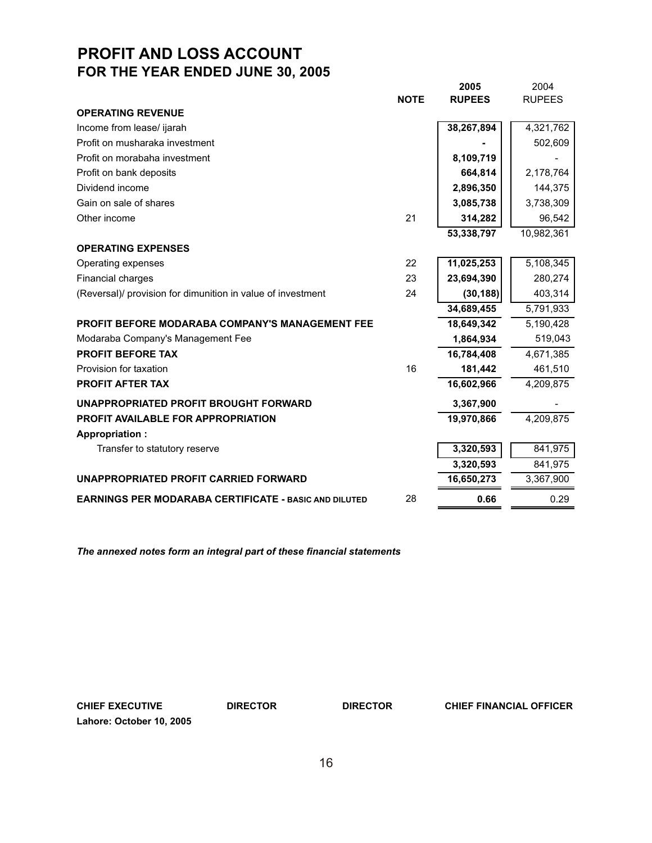# **PROFIT AND LOSS ACCOUNT FOR THE YEAR ENDED JUNE 30, 2005**

|                                                              |             | 2005          | 2004          |
|--------------------------------------------------------------|-------------|---------------|---------------|
|                                                              | <b>NOTE</b> | <b>RUPEES</b> | <b>RUPEES</b> |
| <b>OPERATING REVENUE</b>                                     |             |               |               |
| Income from lease/ ijarah                                    |             | 38,267,894    | 4,321,762     |
| Profit on musharaka investment                               |             |               | 502,609       |
| Profit on morabaha investment                                |             | 8,109,719     |               |
| Profit on bank deposits                                      |             | 664,814       | 2,178,764     |
| Dividend income                                              |             | 2,896,350     | 144,375       |
| Gain on sale of shares                                       |             | 3,085,738     | 3,738,309     |
| Other income                                                 | 21          | 314,282       | 96,542        |
|                                                              |             | 53,338,797    | 10,982,361    |
| <b>OPERATING EXPENSES</b>                                    |             |               |               |
| Operating expenses                                           | 22          | 11,025,253    | 5,108,345     |
| Financial charges                                            | 23          | 23,694,390    | 280,274       |
| (Reversal)/ provision for dimunition in value of investment  | 24          | (30, 188)     | 403,314       |
|                                                              |             | 34,689,455    | 5,791,933     |
| <b>PROFIT BEFORE MODARABA COMPANY'S MANAGEMENT FEE</b>       |             | 18,649,342    | 5,190,428     |
| Modaraba Company's Management Fee                            |             | 1,864,934     | 519,043       |
| <b>PROFIT BEFORE TAX</b>                                     |             | 16,784,408    | 4,671,385     |
| Provision for taxation                                       | 16          | 181,442       | 461,510       |
| <b>PROFIT AFTER TAX</b>                                      |             | 16,602,966    | 4,209,875     |
| UNAPPROPRIATED PROFIT BROUGHT FORWARD                        |             | 3,367,900     |               |
| <b>PROFIT AVAILABLE FOR APPROPRIATION</b>                    |             | 19,970,866    | 4,209,875     |
| <b>Appropriation:</b>                                        |             |               |               |
| Transfer to statutory reserve                                |             | 3,320,593     | 841,975       |
|                                                              |             | 3,320,593     | 841,975       |
| UNAPPROPRIATED PROFIT CARRIED FORWARD                        |             | 16,650,273    | 3,367,900     |
| <b>EARNINGS PER MODARABA CERTIFICATE - BASIC AND DILUTED</b> | 28          | 0.66          | 0.29          |

*The annexed notes form an integral part of these financial statements*

**CHIEF EXECUTIVE DIRECTOR DIRECTOR CHIEF FINANCIAL OFFICER Lahore: October 10, 2005**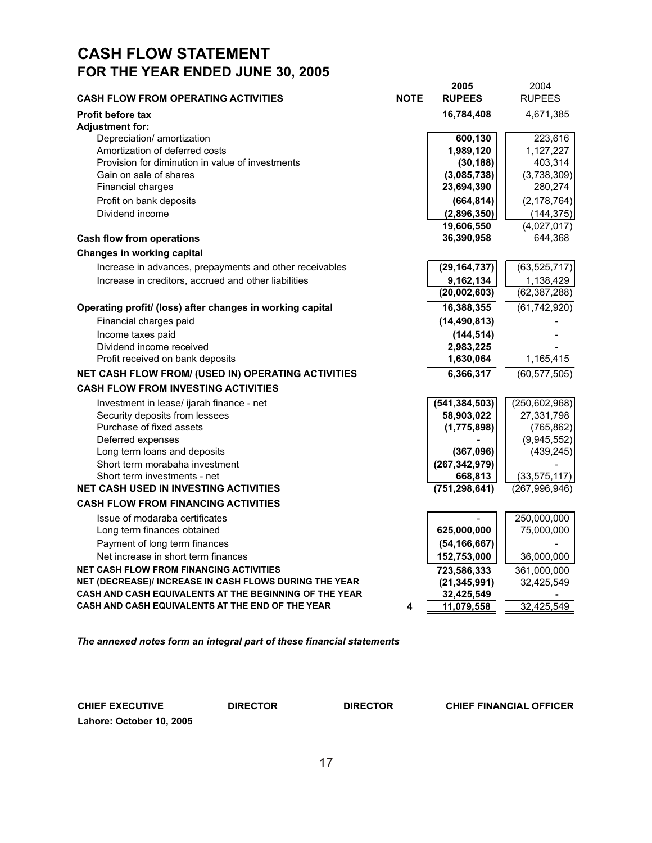# **CASH FLOW STATEMENT FOR THE YEAR ENDED JUNE 30, 2005**

| <b>CASH FLOW FROM OPERATING ACTIVITIES</b>                                   | <b>NOTE</b> | 2005<br><b>RUPEES</b>      | 2004<br><b>RUPEES</b>             |
|------------------------------------------------------------------------------|-------------|----------------------------|-----------------------------------|
|                                                                              |             |                            |                                   |
| <b>Profit before tax</b>                                                     |             | 16,784,408                 | 4,671,385                         |
| <b>Adjustment for:</b><br>Depreciation/ amortization                         |             | 600,130                    | 223,616                           |
| Amortization of deferred costs                                               |             | 1,989,120                  | 1,127,227                         |
| Provision for diminution in value of investments                             |             | (30, 188)                  | 403,314                           |
| Gain on sale of shares                                                       |             | (3,085,738)                | (3,738,309)                       |
| Financial charges                                                            |             | 23,694,390                 | 280,274                           |
| Profit on bank deposits                                                      |             | (664, 814)                 | (2, 178, 764)                     |
| Dividend income                                                              |             | (2,896,350)                | (144, 375)                        |
|                                                                              |             | 19,606,550                 | (4,027,017)                       |
| <b>Cash flow from operations</b>                                             |             | 36,390,958                 | 644,368                           |
| <b>Changes in working capital</b>                                            |             |                            |                                   |
| Increase in advances, prepayments and other receivables                      |             | (29, 164, 737)             | (63, 525, 717)                    |
| Increase in creditors, accrued and other liabilities                         |             | 9,162,134                  | 1,138,429                         |
|                                                                              |             | (20,002,603)               | (62, 387, 288)                    |
| Operating profit/ (loss) after changes in working capital                    |             | 16,388,355                 | (61, 742, 920)                    |
| Financial charges paid                                                       |             | (14, 490, 813)             |                                   |
| Income taxes paid                                                            |             | (144, 514)                 |                                   |
| Dividend income received                                                     |             | 2,983,225                  |                                   |
| Profit received on bank deposits                                             |             | 1,630,064                  | 1,165,415                         |
| NET CASH FLOW FROM/ (USED IN) OPERATING ACTIVITIES                           |             | 6,366,317                  | (60, 577, 505)                    |
| <b>CASH FLOW FROM INVESTING ACTIVITIES</b>                                   |             |                            |                                   |
| Investment in lease/ ijarah finance - net                                    |             | (541, 384, 503)            | (250, 602, 968)                   |
| Security deposits from lessees                                               |             | 58,903,022                 | 27,331,798                        |
| Purchase of fixed assets                                                     |             | (1,775,898)                | (765, 862)                        |
| Deferred expenses                                                            |             |                            | (9,945,552)                       |
| Long term loans and deposits                                                 |             | (367,096)                  | (439, 245)                        |
| Short term morabaha investment                                               |             | (267, 342, 979)            |                                   |
| Short term investments - net<br><b>NET CASH USED IN INVESTING ACTIVITIES</b> |             | 668,813<br>(751, 298, 641) | (33, 575, 117)<br>(267, 996, 946) |
| <b>CASH FLOW FROM FINANCING ACTIVITIES</b>                                   |             |                            |                                   |
|                                                                              |             |                            |                                   |
| Issue of modaraba certificates<br>Long term finances obtained                |             | 625,000,000                | 250,000,000<br>75,000,000         |
| Payment of long term finances                                                |             | (54, 166, 667)             |                                   |
| Net increase in short term finances                                          |             | 152,753,000                | 36,000,000                        |
| <b>NET CASH FLOW FROM FINANCING ACTIVITIES</b>                               |             | 723,586,333                | 361,000,000                       |
| NET (DECREASE)/ INCREASE IN CASH FLOWS DURING THE YEAR                       |             | (21, 345, 991)             | 32,425,549                        |
| CASH AND CASH EQUIVALENTS AT THE BEGINNING OF THE YEAR                       |             | 32,425,549                 |                                   |
| CASH AND CASH EQUIVALENTS AT THE END OF THE YEAR                             | 4           | 11,079,558                 | 32,425,549                        |
|                                                                              |             |                            |                                   |

*The annexed notes form an integral part of these financial statements*

**Lahore: October 10, 2005**

**CHIEF EXECUTIVE DIRECTOR DIRECTOR CHIEF FINANCIAL OFFICER**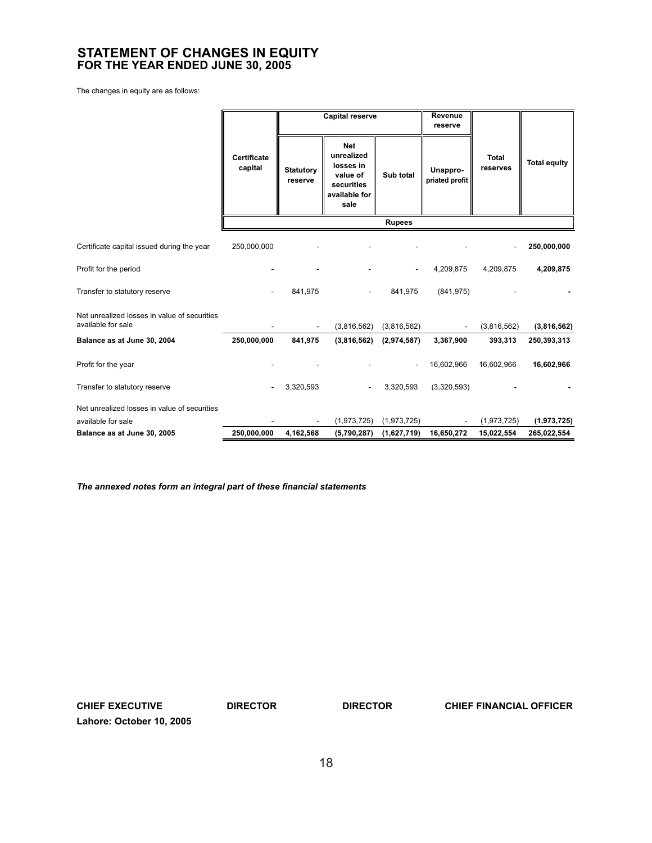# **STATEMENT OF CHANGES IN EQUITY FOR THE YEAR ENDED JUNE 30, 2005**

The changes in equity are as follows:

|                                                                    |                        |                             | Revenue<br><b>Capital reserve</b><br>reserve                                             |                          |                            |                          |                     |  |  |
|--------------------------------------------------------------------|------------------------|-----------------------------|------------------------------------------------------------------------------------------|--------------------------|----------------------------|--------------------------|---------------------|--|--|
|                                                                    | Certificate<br>capital | <b>Statutory</b><br>reserve | <b>Net</b><br>unrealized<br>losses in<br>value of<br>securities<br>available for<br>sale | Sub total                | Unappro-<br>priated profit | <b>Total</b><br>reserves | <b>Total equity</b> |  |  |
|                                                                    |                        |                             |                                                                                          | <b>Rupees</b>            |                            |                          |                     |  |  |
| Certificate capital issued during the year                         | 250,000,000            |                             |                                                                                          |                          |                            |                          | 250,000,000         |  |  |
| Profit for the period                                              |                        |                             |                                                                                          | $\overline{\phantom{a}}$ | 4,209,875                  | 4,209,875                | 4,209,875           |  |  |
| Transfer to statutory reserve                                      |                        | 841,975                     |                                                                                          | 841,975                  | (841, 975)                 |                          |                     |  |  |
| Net unrealized losses in value of securities<br>available for sale |                        |                             | (3,816,562)                                                                              | (3,816,562)              | $\blacksquare$             | (3,816,562)              | (3,816,562)         |  |  |
| Balance as at June 30, 2004                                        | 250,000,000            | 841,975                     | (3,816,562)                                                                              | (2,974,587)              | 3,367,900                  | 393,313                  | 250,393,313         |  |  |
| Profit for the year                                                |                        |                             |                                                                                          | $\blacksquare$           | 16,602,966                 | 16,602,966               | 16,602,966          |  |  |
| Transfer to statutory reserve                                      |                        | 3,320,593                   |                                                                                          | 3,320,593                | (3,320,593)                |                          |                     |  |  |
| Net unrealized losses in value of securities                       |                        |                             |                                                                                          |                          |                            |                          |                     |  |  |
| available for sale                                                 |                        |                             | (1,973,725)                                                                              | (1,973,725)              |                            | (1,973,725)              | (1,973,725)         |  |  |
| Balance as at June 30, 2005                                        | 250,000,000            | 4,162,568                   | (5,790,287)                                                                              | (1,627,719)              | 16,650,272                 | 15,022,554               | 265,022,554         |  |  |

*The annexed notes form an integral part of these financial statements*

**Lahore: October 10, 2005**

**CHIEF EXECUTIVE DIRECTOR DIRECTOR CHIEF FINANCIAL OFFICER**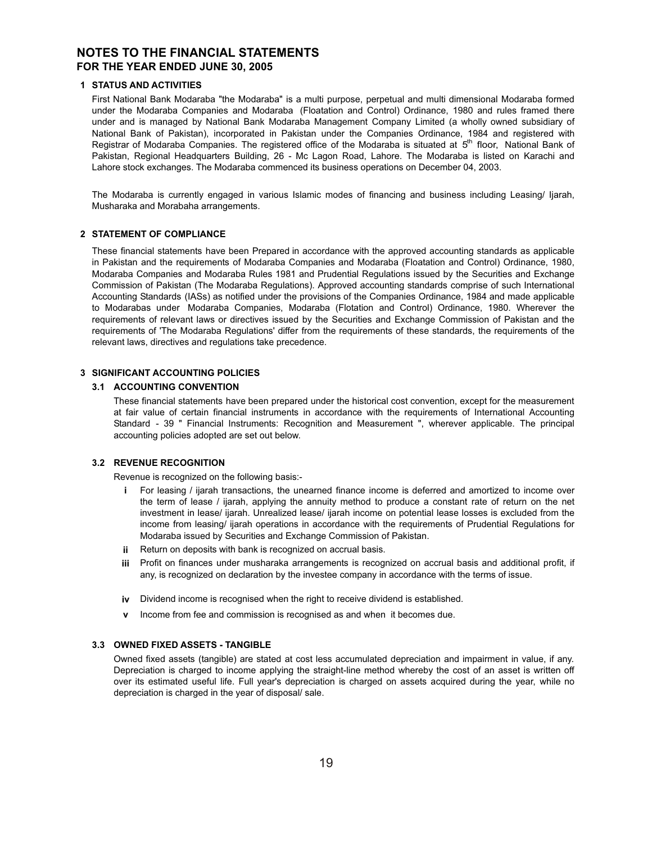# **NOTES TO THE FINANCIAL STATEMENTS FOR THE YEAR ENDED JUNE 30, 2005**

# **1 STATUS AND ACTIVITIES**

First National Bank Modaraba "the Modaraba" is a multi purpose, perpetual and multi dimensional Modaraba formed under the Modaraba Companies and Modaraba (Floatation and Control) Ordinance, 1980 and rules framed there under and is managed by National Bank Modaraba Management Company Limited (a wholly owned subsidiary of National Bank of Pakistan), incorporated in Pakistan under the Companies Ordinance, 1984 and registered with Registrar of Modaraba Companies. The registered office of the Modaraba is situated at 5<sup>th</sup> floor, National Bank of Pakistan, Regional Headquarters Building, 26 - Mc Lagon Road, Lahore. The Modaraba is listed on Karachi and Lahore stock exchanges. The Modaraba commenced its business operations on December 04, 2003.

The Modaraba is currently engaged in various Islamic modes of financing and business including Leasing/ Ijarah, Musharaka and Morabaha arrangements.

# **2 STATEMENT OF COMPLIANCE**

These financial statements have been Prepared in accordance with the approved accounting standards as applicable in Pakistan and the requirements of Modaraba Companies and Modaraba (Floatation and Control) Ordinance, 1980, Modaraba Companies and Modaraba Rules 1981 and Prudential Regulations issued by the Securities and Exchange Commission of Pakistan (The Modaraba Regulations). Approved accounting standards comprise of such International Accounting Standards (IASs) as notified under the provisions of the Companies Ordinance, 1984 and made applicable to Modarabas under Modaraba Companies, Modaraba (Flotation and Control) Ordinance, 1980. Wherever the requirements of relevant laws or directives issued by the Securities and Exchange Commission of Pakistan and the requirements of 'The Modaraba Regulations' differ from the requirements of these standards, the requirements of the relevant laws, directives and regulations take precedence.

# **3 SIGNIFICANT ACCOUNTING POLICIES**

## **3.1 ACCOUNTING CONVENTION**

These financial statements have been prepared under the historical cost convention, except for the measurement at fair value of certain financial instruments in accordance with the requirements of International Accounting Standard - 39 " Financial Instruments: Recognition and Measurement ", wherever applicable. The principal accounting policies adopted are set out below.

#### **3.2 REVENUE RECOGNITION**

Revenue is recognized on the following basis:-

- **i** For leasing / ijarah transactions, the unearned finance income is deferred and amortized to income over the term of lease / ijarah, applying the annuity method to produce a constant rate of return on the net investment in lease/ ijarah. Unrealized lease/ ijarah income on potential lease losses is excluded from the income from leasing/ ijarah operations in accordance with the requirements of Prudential Regulations for Modaraba issued by Securities and Exchange Commission of Pakistan.
- **ii** Return on deposits with bank is recognized on accrual basis.
- **iii** Profit on finances under musharaka arrangements is recognized on accrual basis and additional profit, if any, is recognized on declaration by the investee company in accordance with the terms of issue.
- **iv** Dividend income is recognised when the right to receive dividend is established.
- **v** Income from fee and commission is recognised as and when it becomes due.

# **3.3 OWNED FIXED ASSETS - TANGIBLE**

Owned fixed assets (tangible) are stated at cost less accumulated depreciation and impairment in value, if any. Depreciation is charged to income applying the straight-line method whereby the cost of an asset is written off over its estimated useful life. Full year's depreciation is charged on assets acquired during the year, while no depreciation is charged in the year of disposal/ sale.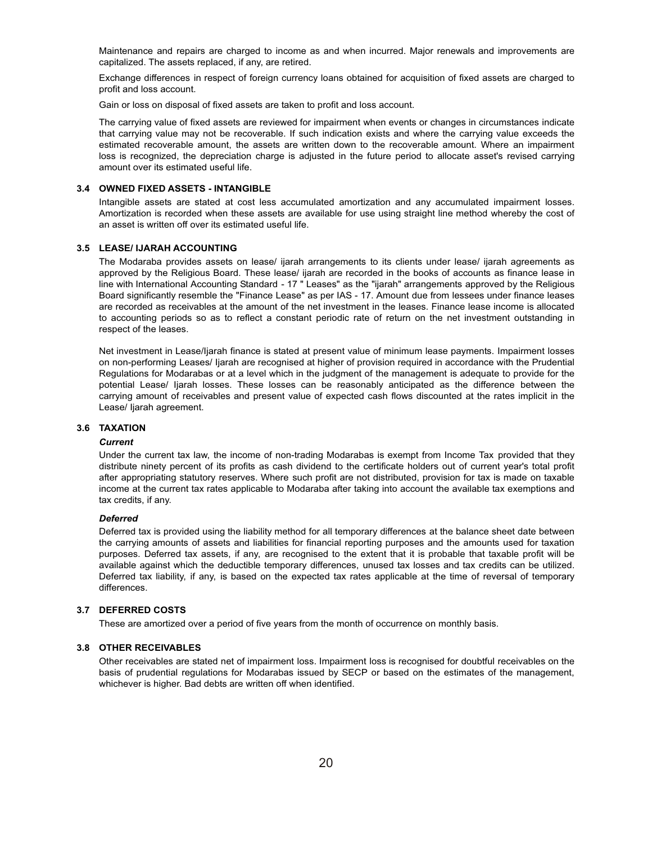Maintenance and repairs are charged to income as and when incurred. Major renewals and improvements are capitalized. The assets replaced, if any, are retired.

Exchange differences in respect of foreign currency loans obtained for acquisition of fixed assets are charged to profit and loss account.

Gain or loss on disposal of fixed assets are taken to profit and loss account.

The carrying value of fixed assets are reviewed for impairment when events or changes in circumstances indicate that carrying value may not be recoverable. If such indication exists and where the carrying value exceeds the estimated recoverable amount, the assets are written down to the recoverable amount. Where an impairment loss is recognized, the depreciation charge is adjusted in the future period to allocate asset's revised carrying amount over its estimated useful life.

#### **3.4 OWNED FIXED ASSETS - INTANGIBLE**

Intangible assets are stated at cost less accumulated amortization and any accumulated impairment losses. Amortization is recorded when these assets are available for use using straight line method whereby the cost of an asset is written off over its estimated useful life.

#### **3.5 LEASE/ IJARAH ACCOUNTING**

The Modaraba provides assets on lease/ ijarah arrangements to its clients under lease/ ijarah agreements as approved by the Religious Board. These lease/ ijarah are recorded in the books of accounts as finance lease in line with International Accounting Standard - 17 " Leases" as the "ijarah" arrangements approved by the Religious Board significantly resemble the "Finance Lease" as per IAS - 17. Amount due from lessees under finance leases are recorded as receivables at the amount of the net investment in the leases. Finance lease income is allocated to accounting periods so as to reflect a constant periodic rate of return on the net investment outstanding in respect of the leases.

Net investment in Lease/Ijarah finance is stated at present value of minimum lease payments. Impairment losses on non-performing Leases/ Ijarah are recognised at higher of provision required in accordance with the Prudential Regulations for Modarabas or at a level which in the judgment of the management is adequate to provide for the potential Lease/ Ijarah losses. These losses can be reasonably anticipated as the difference between the carrying amount of receivables and present value of expected cash flows discounted at the rates implicit in the Lease/ Ijarah agreement.

#### **3.6 TAXATION**

#### *Current*

Under the current tax law, the income of non-trading Modarabas is exempt from Income Tax provided that they distribute ninety percent of its profits as cash dividend to the certificate holders out of current year's total profit after appropriating statutory reserves. Where such profit are not distributed, provision for tax is made on taxable income at the current tax rates applicable to Modaraba after taking into account the available tax exemptions and tax credits, if any.

#### *Deferred*

Deferred tax is provided using the liability method for all temporary differences at the balance sheet date between the carrying amounts of assets and liabilities for financial reporting purposes and the amounts used for taxation purposes. Deferred tax assets, if any, are recognised to the extent that it is probable that taxable profit will be available against which the deductible temporary differences, unused tax losses and tax credits can be utilized. Deferred tax liability, if any, is based on the expected tax rates applicable at the time of reversal of temporary differences.

#### **3.7 DEFERRED COSTS**

These are amortized over a period of five years from the month of occurrence on monthly basis.

#### **3.8 OTHER RECEIVABLES**

Other receivables are stated net of impairment loss. Impairment loss is recognised for doubtful receivables on the basis of prudential regulations for Modarabas issued by SECP or based on the estimates of the management, whichever is higher. Bad debts are written off when identified.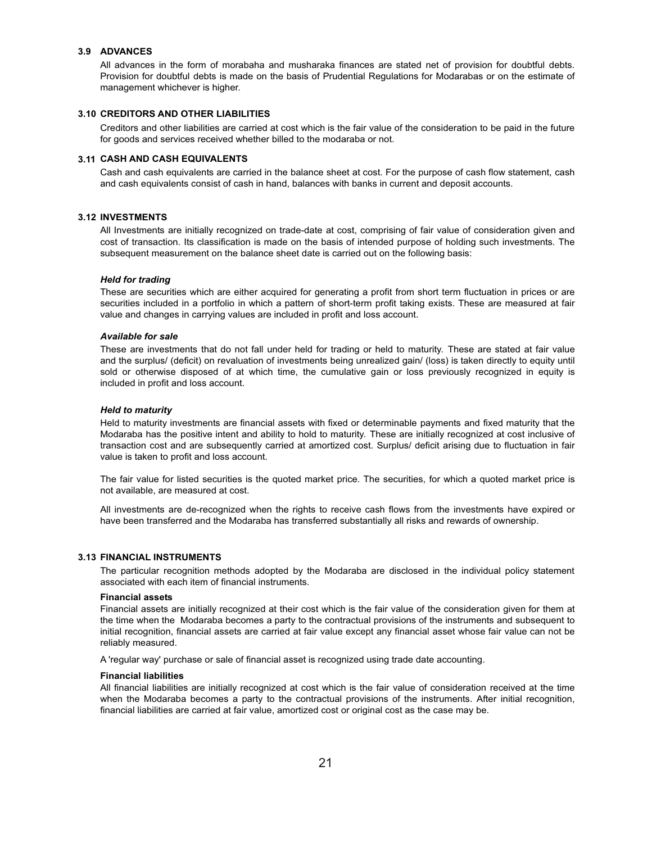#### **3.9 ADVANCES**

All advances in the form of morabaha and musharaka finances are stated net of provision for doubtful debts. Provision for doubtful debts is made on the basis of Prudential Regulations for Modarabas or on the estimate of management whichever is higher.

#### **3.10 CREDITORS AND OTHER LIABILITIES**

Creditors and other liabilities are carried at cost which is the fair value of the consideration to be paid in the future for goods and services received whether billed to the modaraba or not.

#### **3.11 CASH AND CASH EQUIVALENTS**

Cash and cash equivalents are carried in the balance sheet at cost. For the purpose of cash flow statement, cash and cash equivalents consist of cash in hand, balances with banks in current and deposit accounts.

#### **3.12 INVESTMENTS**

All Investments are initially recognized on trade-date at cost, comprising of fair value of consideration given and cost of transaction. Its classification is made on the basis of intended purpose of holding such investments. The subsequent measurement on the balance sheet date is carried out on the following basis:

## *Held for trading*

These are securities which are either acquired for generating a profit from short term fluctuation in prices or are securities included in a portfolio in which a pattern of short-term profit taking exists. These are measured at fair value and changes in carrying values are included in profit and loss account.

#### *Available for sale*

These are investments that do not fall under held for trading or held to maturity. These are stated at fair value and the surplus/ (deficit) on revaluation of investments being unrealized gain/ (loss) is taken directly to equity until sold or otherwise disposed of at which time, the cumulative gain or loss previously recognized in equity is included in profit and loss account.

#### *Held to maturity*

Held to maturity investments are financial assets with fixed or determinable payments and fixed maturity that the Modaraba has the positive intent and ability to hold to maturity. These are initially recognized at cost inclusive of transaction cost and are subsequently carried at amortized cost. Surplus/ deficit arising due to fluctuation in fair value is taken to profit and loss account.

The fair value for listed securities is the quoted market price. The securities, for which a quoted market price is not available, are measured at cost.

All investments are de-recognized when the rights to receive cash flows from the investments have expired or have been transferred and the Modaraba has transferred substantially all risks and rewards of ownership.

#### **3.13 FINANCIAL INSTRUMENTS**

The particular recognition methods adopted by the Modaraba are disclosed in the individual policy statement associated with each item of financial instruments.

#### **Financial assets**

Financial assets are initially recognized at their cost which is the fair value of the consideration given for them at the time when the Modaraba becomes a party to the contractual provisions of the instruments and subsequent to initial recognition, financial assets are carried at fair value except any financial asset whose fair value can not be reliably measured.

A 'regular way' purchase or sale of financial asset is recognized using trade date accounting.

#### **Financial liabilities**

All financial liabilities are initially recognized at cost which is the fair value of consideration received at the time when the Modaraba becomes a party to the contractual provisions of the instruments. After initial recognition, financial liabilities are carried at fair value, amortized cost or original cost as the case may be.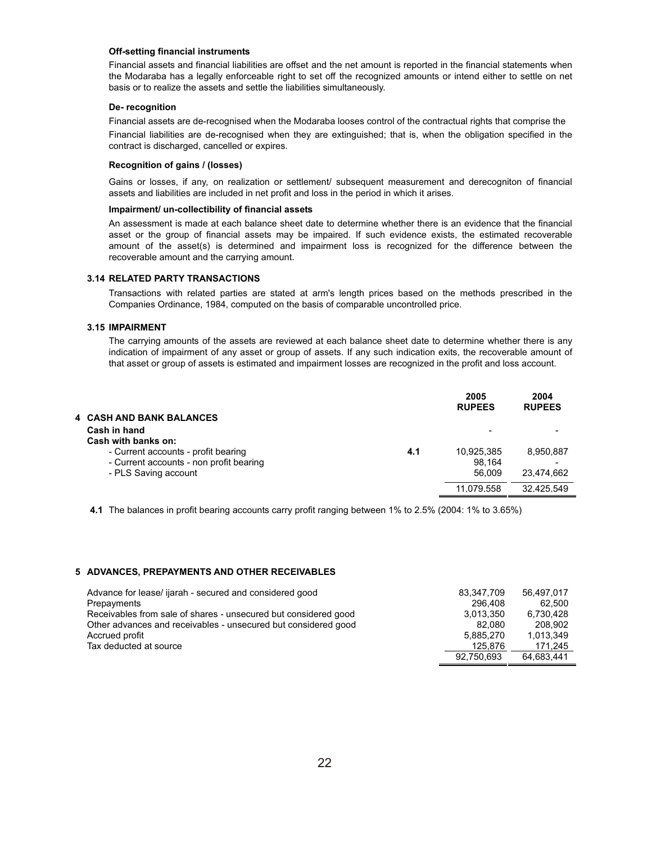### **Off-setting financial instruments**

Financial assets and financial liabilities are offset and the net amount is reported in the financial statements when the Modaraba has a legally enforceable right to set off the recognized amounts or intend either to settle on net basis or to realize the assets and settle the liabilities simultaneously.

#### **De- recognition**

Financial assets are de-recognised when the Modaraba looses control of the contractual rights that comprise the Financial liabilities are de-recognised when they are extinguished; that is, when the obligation specified in the contract is discharged, cancelled or expires.

#### **Recognition of gains / (losses)**

Gains or losses, if any, on realization or settlement/ subsequent measurement and derecogniton of financial assets and liabilities are included in net profit and loss in the period in which it arises.

#### **Impairment/ un-collectibility of financial assets**

An assessment is made at each balance sheet date to determine whether there is an evidence that the financial asset or the group of financial assets may be impaired. If such evidence exists, the estimated recoverable amount of the asset(s) is determined and impairment loss is recognized for the difference between the recoverable amount and the carrying amount.

#### **3.14 RELATED PARTY TRANSACTIONS**

Transactions with related parties are stated at arm's length prices based on the methods prescribed in the Companies Ordinance, 1984, computed on the basis of comparable uncontrolled price.

### **3.15 IMPAIRMENT**

The carrying amounts of the assets are reviewed at each balance sheet date to determine whether there is any indication of impairment of any asset or group of assets. If any such indication exits, the recoverable amount of that asset or group of assets is estimated and impairment losses are recognized in the profit and loss account.

| <b>4 CASH AND BANK BALANCES</b>                                                                        |     | 2005<br><b>RUPEES</b>          | 2004<br><b>RUPEES</b>   |
|--------------------------------------------------------------------------------------------------------|-----|--------------------------------|-------------------------|
| Cash in hand<br>Cash with banks on:                                                                    |     |                                |                         |
| - Current accounts - profit bearing<br>- Current accounts - non profit bearing<br>- PLS Saving account | 4.1 | 10,925,385<br>98.164<br>56.009 | 8,950,887<br>23.474.662 |
|                                                                                                        |     | 11.079.558                     | 32.425.549              |

**4.1** The balances in profit bearing accounts carry profit ranging between 1% to 2.5% (2004: 1% to 3.65%)

#### **5 ADVANCES, PREPAYMENTS AND OTHER RECEIVABLES**

| Advance for lease/ ijarah - secured and considered good         | 83.347.709 | 56.497.017 |
|-----------------------------------------------------------------|------------|------------|
| Prepayments                                                     | 296.408    | 62.500     |
| Receivables from sale of shares - unsecured but considered good | 3.013.350  | 6.730.428  |
| Other advances and receivables - unsecured but considered good  | 82.080     | 208.902    |
| Accrued profit                                                  | 5.885.270  | 1,013,349  |
| Tax deducted at source                                          | 125.876    | 171.245    |
|                                                                 | 92.750.693 | 64.683.441 |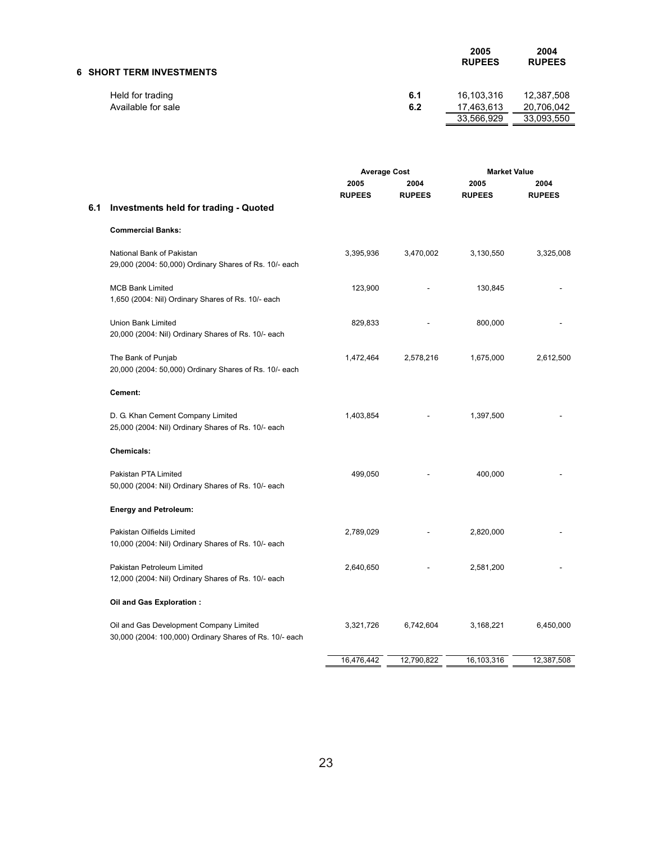| 6 SHORT TERM INVESTMENTS |     | 2005<br><b>RUPEES</b> | 2004<br><b>RUPEES</b> |
|--------------------------|-----|-----------------------|-----------------------|
| Held for trading         | 6.1 | 16.103.316            | 12.387.508            |
| Available for sale       | 6.2 | 17.463.613            | 20.706.042            |
|                          |     | 33,566,929            | 33,093,550            |

|     |                                                                                                    | <b>Average Cost</b>   |                       | <b>Market Value</b>   |                       |
|-----|----------------------------------------------------------------------------------------------------|-----------------------|-----------------------|-----------------------|-----------------------|
|     |                                                                                                    | 2005<br><b>RUPEES</b> | 2004<br><b>RUPEES</b> | 2005<br><b>RUPEES</b> | 2004<br><b>RUPEES</b> |
| 6.1 | <b>Investments held for trading - Quoted</b>                                                       |                       |                       |                       |                       |
|     | <b>Commercial Banks:</b>                                                                           |                       |                       |                       |                       |
|     | National Bank of Pakistan<br>29,000 (2004: 50,000) Ordinary Shares of Rs. 10/- each                | 3,395,936             | 3,470,002             | 3,130,550             | 3,325,008             |
|     | <b>MCB Bank Limited</b><br>1,650 (2004: Nil) Ordinary Shares of Rs. 10/- each                      | 123,900               |                       | 130,845               |                       |
|     | <b>Union Bank Limited</b><br>20,000 (2004: Nil) Ordinary Shares of Rs. 10/- each                   | 829,833               |                       | 800,000               |                       |
|     | The Bank of Punjab<br>20,000 (2004: 50,000) Ordinary Shares of Rs. 10/- each                       | 1,472,464             | 2,578,216             | 1,675,000             | 2,612,500             |
|     | Cement:                                                                                            |                       |                       |                       |                       |
|     | D. G. Khan Cement Company Limited<br>25,000 (2004: Nil) Ordinary Shares of Rs. 10/- each           | 1,403,854             |                       | 1,397,500             |                       |
|     | Chemicals:                                                                                         |                       |                       |                       |                       |
|     | Pakistan PTA Limited<br>50,000 (2004: Nil) Ordinary Shares of Rs. 10/- each                        | 499,050               |                       | 400,000               |                       |
|     | <b>Energy and Petroleum:</b>                                                                       |                       |                       |                       |                       |
|     | Pakistan Oilfields Limited<br>10,000 (2004: Nil) Ordinary Shares of Rs. 10/- each                  | 2,789,029             |                       | 2,820,000             |                       |
|     | Pakistan Petroleum Limited<br>12,000 (2004: Nil) Ordinary Shares of Rs. 10/- each                  | 2,640,650             |                       | 2,581,200             |                       |
|     | Oil and Gas Exploration :                                                                          |                       |                       |                       |                       |
|     | Oil and Gas Development Company Limited<br>30,000 (2004: 100,000) Ordinary Shares of Rs. 10/- each | 3,321,726             | 6,742,604             | 3,168,221             | 6,450,000             |
|     |                                                                                                    | 16,476,442            | 12,790,822            | 16,103,316            | 12,387,508            |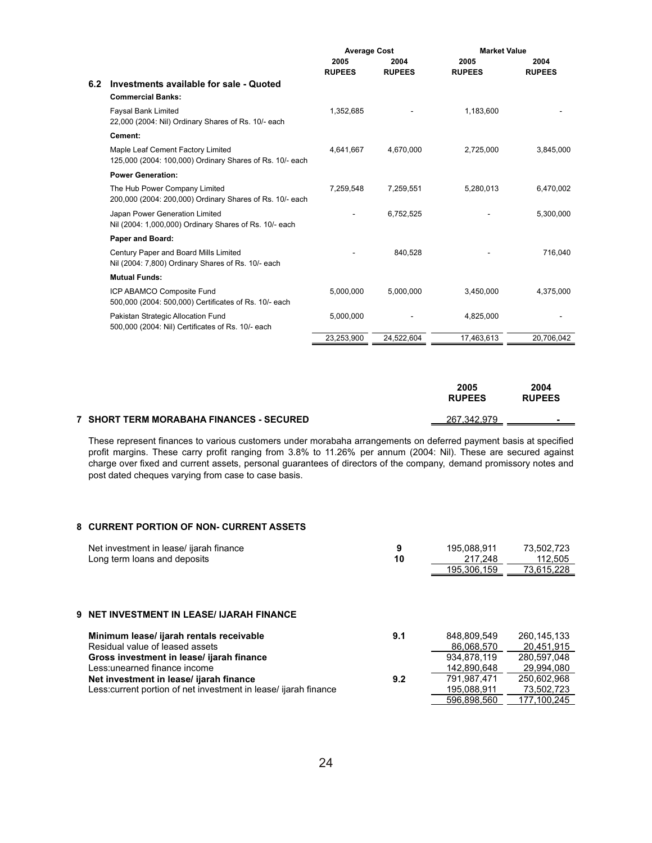|     |                                                                                               | <b>Average Cost</b>   |                       | <b>Market Value</b>   |                       |
|-----|-----------------------------------------------------------------------------------------------|-----------------------|-----------------------|-----------------------|-----------------------|
|     |                                                                                               | 2005<br><b>RUPEES</b> | 2004<br><b>RUPEES</b> | 2005<br><b>RUPEES</b> | 2004<br><b>RUPEES</b> |
| 6.2 | Investments available for sale - Quoted<br><b>Commercial Banks:</b>                           |                       |                       |                       |                       |
|     | <b>Faysal Bank Limited</b><br>22,000 (2004: Nil) Ordinary Shares of Rs. 10/- each             | 1,352,685             |                       | 1,183,600             |                       |
|     | Cement:                                                                                       |                       |                       |                       |                       |
|     | Maple Leaf Cement Factory Limited<br>125,000 (2004: 100,000) Ordinary Shares of Rs. 10/- each | 4,641,667             | 4,670,000             | 2,725,000             | 3,845,000             |
|     | <b>Power Generation:</b>                                                                      |                       |                       |                       |                       |
|     | The Hub Power Company Limited<br>200,000 (2004: 200,000) Ordinary Shares of Rs. 10/- each     | 7,259,548             | 7,259,551             | 5,280,013             | 6,470,002             |
|     | Japan Power Generation Limited<br>Nil (2004: 1,000,000) Ordinary Shares of Rs. 10/- each      |                       | 6,752,525             |                       | 5,300,000             |
|     | <b>Paper and Board:</b>                                                                       |                       |                       |                       |                       |
|     | Century Paper and Board Mills Limited<br>Nil (2004: 7,800) Ordinary Shares of Rs. 10/- each   |                       | 840.528               |                       | 716,040               |
|     | <b>Mutual Funds:</b>                                                                          |                       |                       |                       |                       |
|     | ICP ABAMCO Composite Fund<br>500,000 (2004: 500,000) Certificates of Rs. 10/- each            | 5,000,000             | 5,000,000             | 3,450,000             | 4,375,000             |
|     | Pakistan Strategic Allocation Fund<br>500,000 (2004: Nil) Certificates of Rs. 10/- each       | 5,000,000             |                       | 4,825,000             |                       |
|     |                                                                                               | 23,253,900            | 24,522,604            | 17,463,613            | 20,706,042            |

|                                            | 2005<br><b>RUPEES</b> | 2004<br><b>RUPEES</b> |
|--------------------------------------------|-----------------------|-----------------------|
| 7   SHORT TERM MORABAHA FINANCES - SECURED | 267.342.979           |                       |
|                                            |                       |                       |

These represent finances to various customers under morabaha arrangements on deferred payment basis at specified profit margins. These carry profit ranging from 3.8% to 11.26% per annum (2004: Nil). These are secured against charge over fixed and current assets, personal guarantees of directors of the company, demand promissory notes and post dated cheques varying from case to case basis.

# **8 CURRENT PORTION OF NON- CURRENT ASSETS**

| Net investment in lease/ ijarah finance<br>Long term loans and deposits                                     | 9<br>10 | 195.088.911<br>217.248<br>195,306,159 | 73,502,723<br>112.505<br>73,615,228 |
|-------------------------------------------------------------------------------------------------------------|---------|---------------------------------------|-------------------------------------|
| <b>9 NET INVESTMENT IN LEASE/ IJARAH FINANCE</b>                                                            |         |                                       |                                     |
| Minimum lease/ ijarah rentals receivable<br>Residual value of leased assets                                 | 9.1     | 848.809.549<br>86.068.570             | 260.145.133<br>20.451.915           |
| Gross investment in lease/ ijarah finance<br>Less: unearned finance income                                  |         | 934.878.119<br>142.890.648            | 280.597.048<br>29.994.080           |
| Net investment in lease/ ijarah finance<br>Less: current portion of net investment in lease/ ijarah finance | 9.2     | 791.987.471<br>195.088.911            | 250.602.968<br>73.502.723           |
|                                                                                                             |         | 596.898.560                           | 177.100.245                         |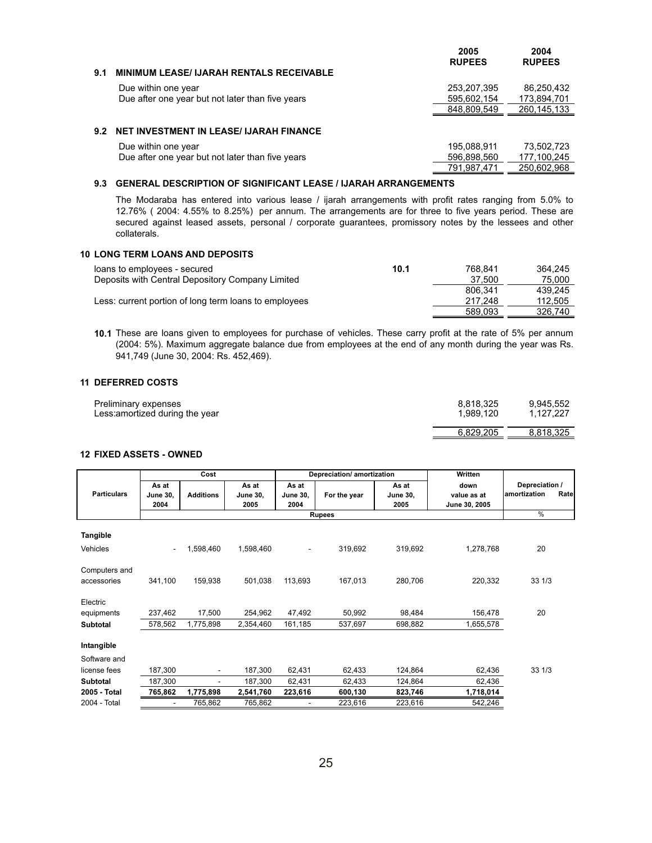|     |                                                  | 2005<br><b>RUPEES</b> | 2004<br><b>RUPEES</b> |
|-----|--------------------------------------------------|-----------------------|-----------------------|
| 9.1 | <b>MINIMUM LEASE/ IJARAH RENTALS RECEIVABLE</b>  |                       |                       |
|     | Due within one year                              | 253,207,395           | 86,250,432            |
|     | Due after one year but not later than five years | 595,602,154           | 173,894,701           |
|     |                                                  | 848.809.549           | 260, 145, 133         |
| 9.2 | <b>NET INVESTMENT IN LEASE/ IJARAH FINANCE</b>   |                       |                       |
|     | Due within one year                              | 195,088,911           | 73,502,723            |
|     | Due after one year but not later than five years | 596,898,560           | 177,100,245           |
|     |                                                  | 791.987.471           | 250,602,968           |
|     |                                                  |                       |                       |

### **9.3 GENERAL DESCRIPTION OF SIGNIFICANT LEASE / IJARAH ARRANGEMENTS**

The Modaraba has entered into various lease / ijarah arrangements with profit rates ranging from 5.0% to 12.76% ( 2004: 4.55% to 8.25%) per annum. The arrangements are for three to five years period. These are secured against leased assets, personal / corporate guarantees, promissory notes by the lessees and other collaterals.

## **10 LONG TERM LOANS AND DEPOSITS**

| loans to employees - secured                          | 10.1 | 768.841 | 364.245 |
|-------------------------------------------------------|------|---------|---------|
| Deposits with Central Depository Company Limited      |      | 37.500  | 75,000  |
|                                                       |      | 806.341 | 439.245 |
| Less: current portion of long term loans to employees |      | 217.248 | 112,505 |
|                                                       |      | 589.093 | 326,740 |

**10.1** These are loans given to employees for purchase of vehicles. These carry profit at the rate of 5% per annum (2004: 5%). Maximum aggregate balance due from employees at the end of any month during the year was Rs. 941,749 (June 30, 2004: Rs. 452,469).

## **11 DEFERRED COSTS**

| Preliminary expenses            | 8.818.325 | 9,945,552 |
|---------------------------------|-----------|-----------|
| Less: amortized during the year | 1.989.120 | 1.127.227 |
|                                 | 6.829.205 | 8.818.325 |

# **12 FIXED ASSETS - OWNED**

|                              |                                  | Cost                     |                                  |                                  | Depreciation/ amortization |                                  | Written                              |                                        |
|------------------------------|----------------------------------|--------------------------|----------------------------------|----------------------------------|----------------------------|----------------------------------|--------------------------------------|----------------------------------------|
| <b>Particulars</b>           | As at<br><b>June 30,</b><br>2004 | <b>Additions</b>         | As at<br><b>June 30,</b><br>2005 | As at<br><b>June 30.</b><br>2004 | For the year               | As at<br><b>June 30,</b><br>2005 | down<br>value as at<br>June 30, 2005 | Depreciation /<br>amortization<br>Rate |
|                              |                                  |                          |                                  |                                  | <b>Rupees</b>              |                                  |                                      | $\%$                                   |
| Tangible                     |                                  |                          |                                  |                                  |                            |                                  |                                      |                                        |
| Vehicles                     | $\blacksquare$                   | 1,598,460                | 1,598,460                        | $\overline{\phantom{a}}$         | 319,692                    | 319,692                          | 1,278,768                            | 20                                     |
| Computers and<br>accessories | 341,100                          | 159,938                  | 501,038                          | 113,693                          | 167,013                    | 280,706                          | 220,332                              | 331/3                                  |
| Electric                     |                                  |                          |                                  |                                  |                            |                                  |                                      |                                        |
| equipments                   | 237.462                          | 17,500                   | 254,962                          | 47,492                           | 50,992                     | 98.484                           | 156,478                              | 20                                     |
| Subtotal                     | 578,562                          | 1,775,898                | 2,354,460                        | 161,185                          | 537,697                    | 698,882                          | 1,655,578                            |                                        |
| Intangible                   |                                  |                          |                                  |                                  |                            |                                  |                                      |                                        |
| Software and                 |                                  |                          |                                  |                                  |                            |                                  |                                      |                                        |
| license fees                 | 187,300                          | $\overline{\phantom{0}}$ | 187,300                          | 62,431                           | 62,433                     | 124,864                          | 62,436                               | 33 1/3                                 |
| <b>Subtotal</b>              | 187,300                          | ٠                        | 187,300                          | 62,431                           | 62,433                     | 124,864                          | 62,436                               |                                        |
| 2005 - Total                 | 765,862                          | 1,775,898                | 2,541,760                        | 223,616                          | 600,130                    | 823,746                          | 1,718,014                            |                                        |
| 2004 - Total                 |                                  | 765,862                  | 765,862                          |                                  | 223,616                    | 223,616                          | 542,246                              |                                        |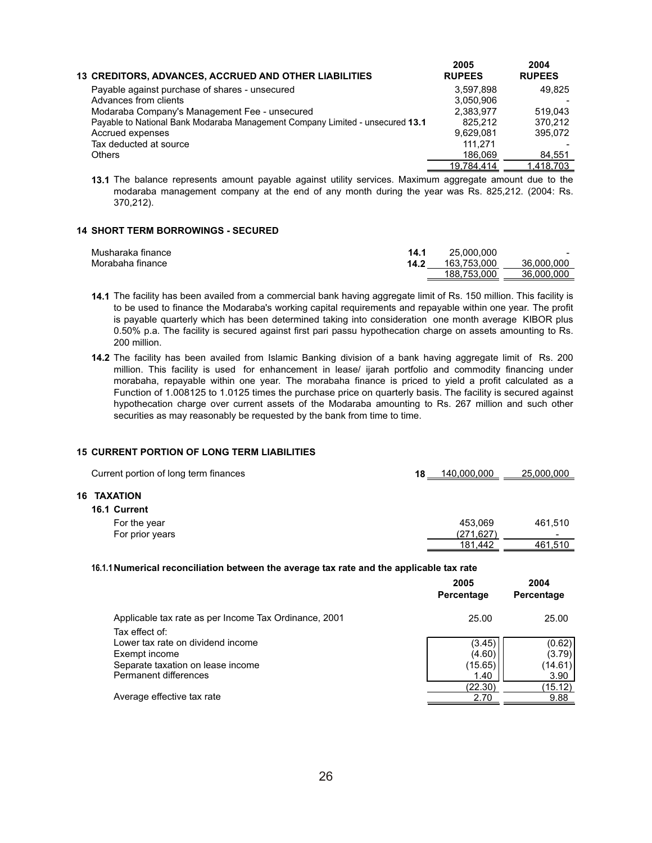| <b>13 CREDITORS, ADVANCES, ACCRUED AND OTHER LIABILITIES</b>                  | 2005<br><b>RUPEES</b> | 2004<br><b>RUPEES</b> |
|-------------------------------------------------------------------------------|-----------------------|-----------------------|
| Payable against purchase of shares - unsecured                                | 3.597.898             | 49.825                |
| Advances from clients                                                         | 3.050.906             |                       |
| Modaraba Company's Management Fee - unsecured                                 | 2,383,977             | 519.043               |
| Payable to National Bank Modaraba Management Company Limited - unsecured 13.1 | 825.212               | 370.212               |
| Accrued expenses                                                              | 9.629.081             | 395.072               |
| Tax deducted at source                                                        | 111.271               |                       |
| <b>Others</b>                                                                 | 186.069               | 84.551                |
|                                                                               | 19.784.414            | 1.418.703             |

**13.1** The balance represents amount payable against utility services. Maximum aggregate amount due to the modaraba management company at the end of any month during the year was Rs. 825,212. (2004: Rs. 370,212).

## **14 SHORT TERM BORROWINGS - SECURED**

| Musharaka finance | 14.1 | 25,000,000  | $\sim$     |
|-------------------|------|-------------|------------|
| Morabaha finance  | 14.2 | 163.753.000 | 36,000,000 |
|                   |      | 188.753.000 | 36,000,000 |

- **14.1** The facility has been availed from a commercial bank having aggregate limit of Rs. 150 million. This facility is to be used to finance the Modaraba's working capital requirements and repayable within one year. The profit is payable quarterly which has been determined taking into consideration one month average KIBOR plus 0.50% p.a. The facility is secured against first pari passu hypothecation charge on assets amounting to Rs. 200 million.
- **14.2** The facility has been availed from Islamic Banking division of a bank having aggregate limit of Rs. 200 million. This facility is used for enhancement in lease/ ijarah portfolio and commodity financing under morabaha, repayable within one year. The morabaha finance is priced to yield a profit calculated as a Function of 1.008125 to 1.0125 times the purchase price on quarterly basis. The facility is secured against hypothecation charge over current assets of the Modaraba amounting to Rs. 267 million and such other securities as may reasonably be requested by the bank from time to time.

#### **15 CURRENT PORTION OF LONG TERM LIABILITIES**

**16 TAXATION**

| Current portion of long term finances | 18 | 140,000,000 | 25,000,000 |
|---------------------------------------|----|-------------|------------|
| <b>TAXATION</b>                       |    |             |            |
| 16.1 Current                          |    |             |            |
| For the year                          |    | 453.069     | 461,510    |
| For prior years                       |    | (271, 627)  |            |
|                                       |    | 181.442     | 461,510    |

#### **16.1.1Numerical reconciliation between the average tax rate and the applicable tax rate**

|                                                       | 2005<br>Percentage | 2004<br>Percentage |
|-------------------------------------------------------|--------------------|--------------------|
| Applicable tax rate as per Income Tax Ordinance, 2001 | 25.00              | 25.00              |
| Tax effect of:                                        |                    |                    |
| Lower tax rate on dividend income                     | (3.45)             | (0.62)             |
| Exempt income                                         | (4.60)             | (3.79)             |
| Separate taxation on lease income                     | (15.65)            | (14.61)            |
| Permanent differences                                 | 1.40               | 3.90               |
|                                                       | (22.30)            | (15.12)            |
| Average effective tax rate                            | 2.70               | 9.88               |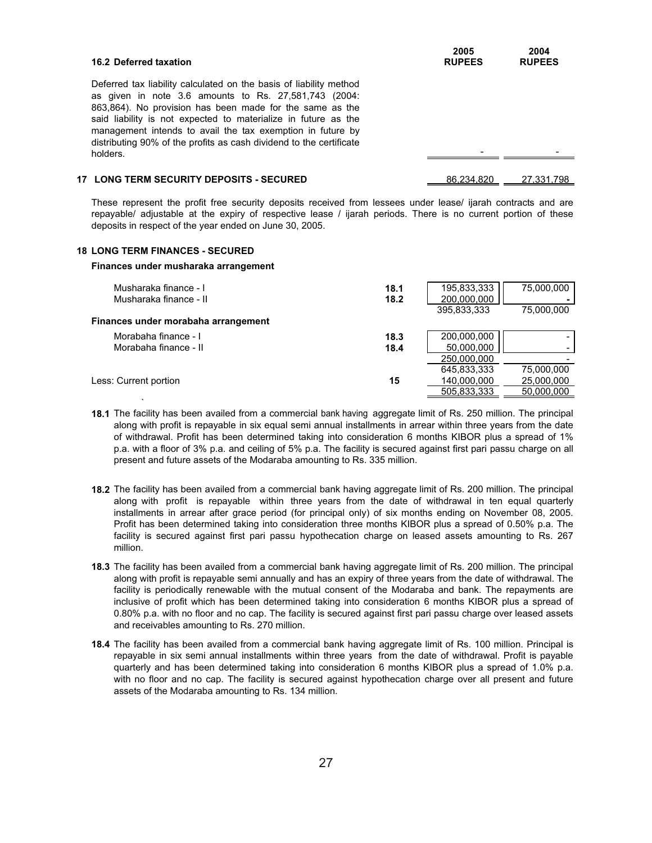| <b>16.2 Deferred taxation</b>                                                                                                                                                                                                                                                                                                                                                                              | 2005<br><b>RUPEES</b> | 2004<br><b>RUPEES</b> |
|------------------------------------------------------------------------------------------------------------------------------------------------------------------------------------------------------------------------------------------------------------------------------------------------------------------------------------------------------------------------------------------------------------|-----------------------|-----------------------|
| Deferred tax liability calculated on the basis of liability method<br>as given in note 3.6 amounts to Rs. 27,581,743 (2004:<br>863,864). No provision has been made for the same as the<br>said liability is not expected to materialize in future as the<br>management intends to avail the tax exemption in future by<br>distributing 90% of the profits as cash dividend to the certificate<br>holders. |                       |                       |
| <b>17 LONG TERM SECURITY DEPOSITS - SECURED</b>                                                                                                                                                                                                                                                                                                                                                            | 86.234.820            | 27.331.798            |

These represent the profit free security deposits received from lessees under lease/ ijarah contracts and are repayable/ adjustable at the expiry of respective lease / ijarah periods. There is no current portion of these deposits in respect of the year ended on June 30, 2005.

#### **18 LONG TERM FINANCES - SECURED**

`

#### **Finances under musharaka arrangement**

| Musharaka finance - I<br>Musharaka finance - II | 18.1<br>18.2 | 195,833,333<br>200,000,000<br>395.833.333 | 75.000.000<br>75.000.000 |
|-------------------------------------------------|--------------|-------------------------------------------|--------------------------|
| Finances under morabaha arrangement             |              |                                           |                          |
| Morabaha finance - I<br>Morabaha finance - II   | 18.3<br>18.4 | 200.000.000<br>50,000,000                 |                          |
|                                                 |              | 250.000.000                               |                          |
|                                                 |              | 645,833,333                               | 75,000,000               |
| Less: Current portion                           | 15           | 140,000,000                               | 25,000,000               |
|                                                 |              | 505.833.333                               | 50.000.000               |

- **18.1** The facility has been availed from a commercial bank having aggregate limit of Rs. 250 million. The principal along with profit is repayable in six equal semi annual installments in arrear within three years from the date of withdrawal. Profit has been determined taking into consideration 6 months KIBOR plus a spread of 1% p.a. with a floor of 3% p.a. and ceiling of 5% p.a. The facility is secured against first pari passu charge on all present and future assets of the Modaraba amounting to Rs. 335 million.
- **18.2** The facility has been availed from a commercial bank having aggregate limit of Rs. 200 million. The principal along with profit is repayable within three years from the date of withdrawal in ten equal quarterly installments in arrear after grace period (for principal only) of six months ending on November 08, 2005. Profit has been determined taking into consideration three months KIBOR plus a spread of 0.50% p.a. The facility is secured against first pari passu hypothecation charge on leased assets amounting to Rs. 267 million.
- **18.3** The facility has been availed from a commercial bank having aggregate limit of Rs. 200 million. The principal along with profit is repayable semi annually and has an expiry of three years from the date of withdrawal. The facility is periodically renewable with the mutual consent of the Modaraba and bank. The repayments are inclusive of profit which has been determined taking into consideration 6 months KIBOR plus a spread of 0.80% p.a. with no floor and no cap. The facility is secured against first pari passu charge over leased assets and receivables amounting to Rs. 270 million.
- **18.4** The facility has been availed from a commercial bank having aggregate limit of Rs. 100 million. Principal is repayable in six semi annual installments within three years from the date of withdrawal. Profit is payable quarterly and has been determined taking into consideration 6 months KIBOR plus a spread of 1.0% p.a. with no floor and no cap. The facility is secured against hypothecation charge over all present and future assets of the Modaraba amounting to Rs. 134 million.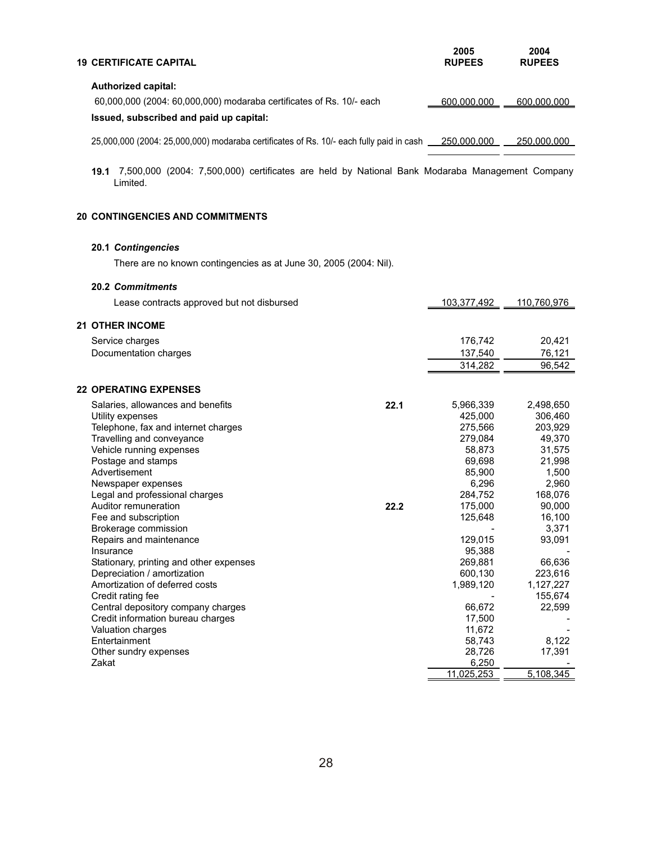| <b>19 CERTIFICATE CAPITAL</b>                                                           | 2005<br><b>RUPEES</b> | 2004<br><b>RUPEES</b> |
|-----------------------------------------------------------------------------------------|-----------------------|-----------------------|
| <b>Authorized capital:</b>                                                              |                       |                       |
| 60,000,000 (2004: 60,000,000) modaraba certificates of Rs. 10/- each                    | 600,000,000           | 600,000,000           |
| Issued, subscribed and paid up capital:                                                 |                       |                       |
| 25,000,000 (2004: 25,000,000) modaraba certificates of Rs. 10/- each fully paid in cash | 250.000.000           | 250,000,000           |

**19.1** 7,500,000 (2004: 7,500,000) certificates are held by National Bank Modaraba Management Company Limited.

# **20 CONTINGENCIES AND COMMITMENTS**

# **20.1** *Contingencies*

There are no known contingencies as at June 30, 2005 (2004: Nil).

# **20.2** *Commitments*

| Lease contracts approved but not disbursed |      | 103,377,492 | 110,760,976 |
|--------------------------------------------|------|-------------|-------------|
| <b>21 OTHER INCOME</b>                     |      |             |             |
|                                            |      |             |             |
| Service charges                            |      | 176,742     | 20,421      |
| Documentation charges                      |      | 137,540     | 76,121      |
|                                            |      | 314,282     | 96,542      |
| <b>22 OPERATING EXPENSES</b>               |      |             |             |
| Salaries, allowances and benefits          | 22.1 | 5,966,339   | 2,498,650   |
| Utility expenses                           |      | 425,000     | 306,460     |
| Telephone, fax and internet charges        |      | 275.566     | 203,929     |
| Travelling and conveyance                  |      | 279,084     | 49,370      |
| Vehicle running expenses                   |      | 58,873      | 31,575      |
| Postage and stamps                         |      | 69,698      | 21,998      |
| Advertisement                              |      | 85,900      | 1,500       |
| Newspaper expenses                         |      | 6,296       | 2,960       |
| Legal and professional charges             |      | 284,752     | 168,076     |
| Auditor remuneration                       | 22.2 | 175,000     | 90,000      |
| Fee and subscription                       |      | 125,648     | 16,100      |
| Brokerage commission                       |      |             | 3,371       |
| Repairs and maintenance                    |      | 129,015     | 93,091      |
| Insurance                                  |      | 95,388      |             |
| Stationary, printing and other expenses    |      | 269,881     | 66,636      |
| Depreciation / amortization                |      | 600,130     | 223,616     |
| Amortization of deferred costs             |      | 1,989,120   | 1,127,227   |
| Credit rating fee                          |      |             | 155,674     |
| Central depository company charges         |      | 66,672      | 22,599      |
| Credit information bureau charges          |      | 17,500      |             |
| Valuation charges                          |      | 11,672      |             |
| Entertainment                              |      | 58,743      | 8,122       |
| Other sundry expenses                      |      | 28,726      | 17,391      |
| Zakat                                      |      | 6,250       |             |
|                                            |      | 11,025,253  | 5,108,345   |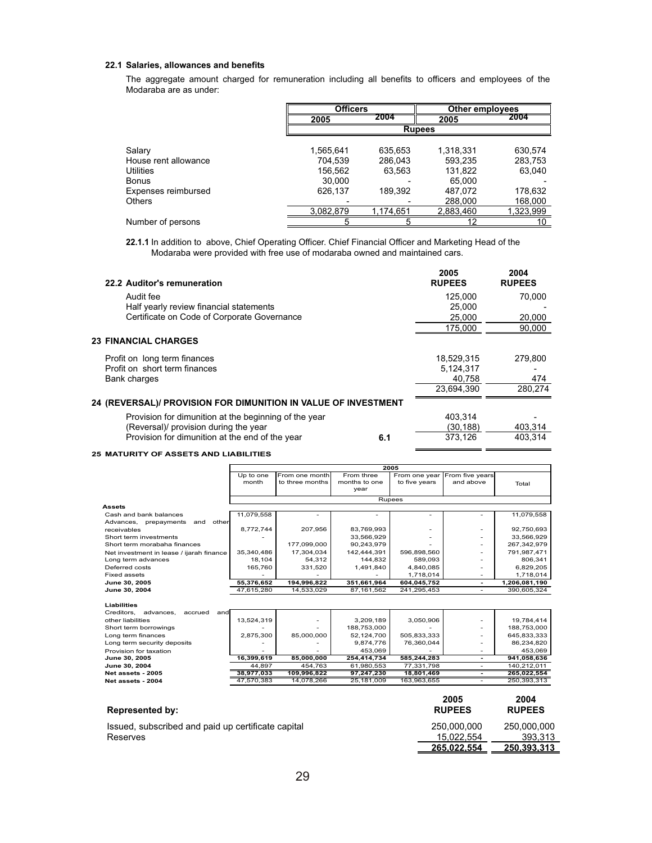#### **22.1 Salaries, allowances and benefits**

The aggregate amount charged for remuneration including all benefits to officers and employees of the Modaraba are as under:

|                      |           | <b>Officers</b> |               | Other employees |
|----------------------|-----------|-----------------|---------------|-----------------|
|                      | 2005      | 2004            | 2005          | 2004            |
|                      |           |                 | <b>Rupees</b> |                 |
| Salary               | 1,565,641 | 635,653         | 1,318,331     | 630,574         |
| House rent allowance | 704,539   | 286.043         | 593,235       | 283,753         |
| Utilities            | 156,562   | 63,563          | 131.822       | 63,040          |
| Bonus                | 30,000    |                 | 65.000        |                 |
| Expenses reimbursed  | 626.137   | 189,392         | 487.072       | 178,632         |
| <b>Others</b>        |           |                 | 288,000       | 168,000         |
|                      | 3.082.879 | 1.174.651       | 2.883.460     | 1,323,999       |
| Number of persons    |           |                 |               | 10              |

**22.1.1** In addition to above, Chief Operating Officer. Chief Financial Officer and Marketing Head of the Modaraba were provided with free use of modaraba owned and maintained cars.

| 2005<br><b>RUPEES</b> | 2004<br><b>RUPEES</b> |
|-----------------------|-----------------------|
| 125,000               | 70,000                |
| 25,000                |                       |
| 25,000                | 20,000                |
| 175.000               | 90.000                |
|                       |                       |
| 18.529.315            | 279.800               |
| 5.124.317             |                       |
| 40,758                | 474                   |
| 23.694.390            | 280.274               |
|                       |                       |
| 403.314               |                       |
| (30.188)              | 403.314               |
| 373.126               | 403.314               |
|                       |                       |

#### **25 MATURITY OF ASSETS AND LIABILITIES**

|                                          |                    |                                   |                                     | 2005                           |                              |               |
|------------------------------------------|--------------------|-----------------------------------|-------------------------------------|--------------------------------|------------------------------|---------------|
|                                          | Up to one<br>month | From one month<br>to three months | From three<br>months to one<br>year | From one year<br>to five years | From five years<br>and above | Total         |
|                                          |                    |                                   |                                     |                                |                              |               |
|                                          |                    |                                   |                                     | Rupees                         |                              |               |
| <b>Assets</b>                            |                    |                                   |                                     |                                |                              |               |
| Cash and bank balances                   | 11.079.558         |                                   |                                     |                                |                              | 11,079,558    |
| Advances,<br>other<br>prepayments<br>and |                    |                                   |                                     |                                |                              |               |
| receivables                              | 8,772,744          | 207.956                           | 83,769,993                          |                                |                              | 92,750,693    |
| Short term investments                   |                    |                                   | 33,566,929                          |                                |                              | 33,566,929    |
| Short term morabaha finances             |                    | 177,099,000                       | 90,243,979                          |                                |                              | 267.342.979   |
| Net investment in lease / ijarah finance | 35.340.486         | 17.304.034                        | 142.444.391                         | 596,898,560                    |                              | 791.987.471   |
| Long term advances                       | 18,104             | 54,312                            | 144,832                             | 589,093                        |                              | 806,341       |
| Deferred costs                           | 165,760            | 331,520                           | 1,491,840                           | 4,840,085                      |                              | 6,829,205     |
| <b>Fixed assets</b>                      |                    |                                   |                                     | 1,718,014                      |                              | 1,718,014     |
| June 30, 2005                            | 55,376,652         | 194,996,822                       | 351,661,964                         | 604,045,752                    |                              | 1,206,081,190 |
| June 30, 2004                            | 47.615.280         | 14.533.029                        | 87.161.562                          | 241.295.453                    |                              | 390.605.324   |
|                                          |                    |                                   |                                     |                                |                              |               |

| <b>Liabilities</b><br>Creditors.<br>advances.<br>accrued<br>andl |                          |                          |             |             |             |
|------------------------------------------------------------------|--------------------------|--------------------------|-------------|-------------|-------------|
| other liabilities                                                | 13,524,319               | $\overline{\phantom{0}}$ | 3,209,189   | 3,050,906   | 19,784,414  |
| Short term borrowings                                            |                          |                          | 188.753.000 |             | 188.753.000 |
| Long term finances                                               | 2.875.300                | 85,000,000               | 52.124.700  | 505,833,333 | 645,833,333 |
| Long term security deposits                                      |                          |                          | 9.874.776   | 76,360,044  | 86,234,820  |
| Provision for taxation                                           | $\overline{\phantom{a}}$ |                          | 453.069     |             | 453,069     |
| June 30, 2005                                                    | 16,399,619               | 85.000.000               | 254.414.734 | 585.244.283 | 941,058,636 |
| June 30, 2004                                                    | 44.897                   | 454.763                  | 61.980.553  | 77.331.798  | 140.212.011 |
| Net assets - 2005                                                | 38.977.033               | 109.996.822              | 97.247.230  | 18.801.469  | 265,022,554 |
| Net assets - 2004                                                | 47.570.383               | 14.078.266               | 25.181.009  | 163.963.655 | 250,393,313 |

| <b>Represented by:</b>                             | 2005<br><b>RUPEES</b> | 2004<br><b>RUPEES</b> |
|----------------------------------------------------|-----------------------|-----------------------|
| Issued, subscribed and paid up certificate capital | 250.000.000           | 250.000.000           |
| Reserves                                           | 15.022.554            | 393.313               |
|                                                    | 265.022.554           | 250.393.313           |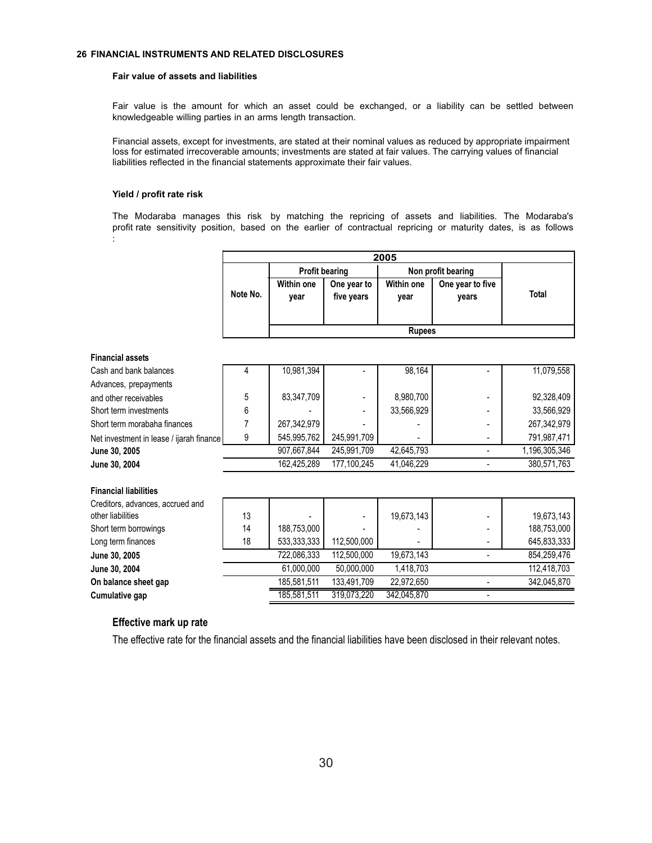## **26 FINANCIAL INSTRUMENTS AND RELATED DISCLOSURES**

r

#### **Fair value of assets and liabilities**

Fair value is the amount for which an asset could be exchanged, or a liability can be settled between knowledgeable willing parties in an arms length transaction.

Financial assets, except for investments, are stated at their nominal values as reduced by appropriate impairment loss for estimated irrecoverable amounts; investments are stated at fair values. The carrying values of financial liabilities reflected in the financial statements approximate their fair values.

#### **Yield / profit rate risk**

The Modaraba manages this risk by matching the repricing of assets and liabilities. The Modaraba's profit rate sensitivity position, based on the earlier of contractual repricing or maturity dates, is as follows :

٦

|                                          |          |                           |                           | 2005                      |                           |               |
|------------------------------------------|----------|---------------------------|---------------------------|---------------------------|---------------------------|---------------|
|                                          |          | <b>Profit bearing</b>     |                           |                           | Non profit bearing        |               |
|                                          | Note No. | <b>Within one</b><br>year | One year to<br>five years | <b>Within one</b><br>year | One year to five<br>years | <b>Total</b>  |
|                                          |          |                           |                           |                           |                           |               |
|                                          |          |                           |                           | <b>Rupees</b>             |                           |               |
| <b>Financial assets</b>                  |          |                           |                           |                           |                           |               |
| Cash and bank balances                   | 4        | 10,981,394                |                           | 98,164                    |                           | 11,079,558    |
| Advances, prepayments                    |          |                           |                           |                           |                           |               |
| and other receivables                    | 5        | 83,347,709                |                           | 8,980,700                 |                           | 92,328,409    |
| Short term investments                   | 6        |                           |                           | 33,566,929                |                           | 33,566,929    |
| Short term morabaha finances             | 7        | 267,342,979               |                           |                           |                           | 267,342,979   |
| Net investment in lease / ijarah finance | 9        | 545,995,762               | 245,991,709               |                           |                           | 791,987,471   |
| June 30, 2005                            |          | 907.667.844               | 245,991,709               | 42,645,793                | -                         | 1,196,305,346 |
| June 30, 2004                            |          | 162,425,289               | 177,100,245               | 41,046,229                |                           | 380,571,763   |
| <b>Financial liabilities</b>             |          |                           |                           |                           |                           |               |
| Creditors, advances, accrued and         |          |                           |                           |                           |                           |               |
| other liabilities                        | 13       |                           |                           | 19,673,143                |                           | 19,673,143    |
| Short term borrowings                    | 14       | 188,753,000               |                           |                           |                           | 188,753,000   |
| Long term finances                       | 18       | 533,333,333               | 112,500,000               |                           |                           | 645,833,333   |
| June 30, 2005                            |          | 722,086,333               | 112,500,000               | 19,673,143                |                           | 854,259,476   |
| June 30, 2004                            |          | 61,000,000                | 50,000,000                | 1,418,703                 |                           | 112,418,703   |
| On balance sheet gap                     |          | 185,581,511               | 133,491,709               | 22.972.650                |                           | 342,045,870   |

# **Effective mark up rate**

The effective rate for the financial assets and the financial liabilities have been disclosed in their relevant notes.

**Cumulative gap** 185,581,511 319,073,220 342,045,870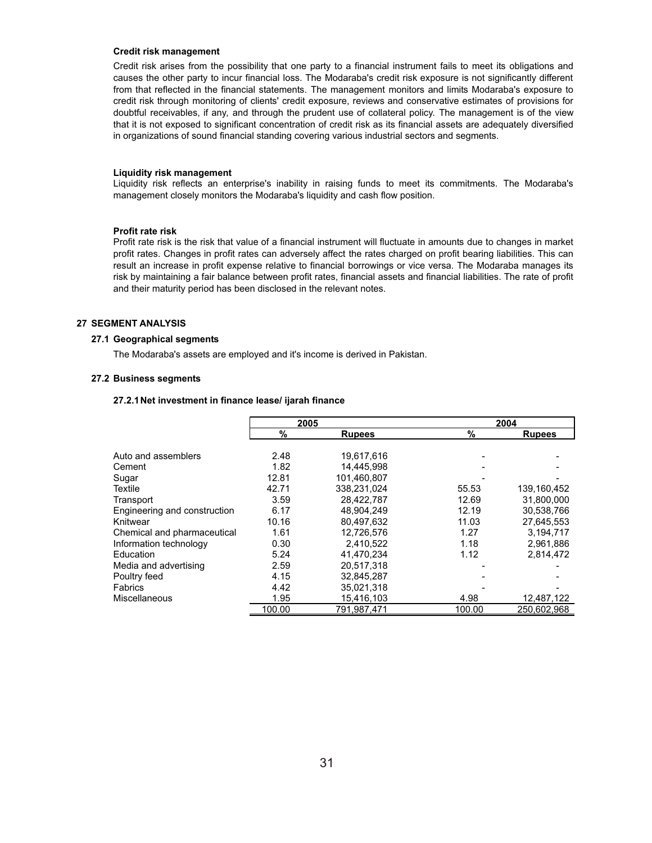#### **Credit risk management**

Credit risk arises from the possibility that one party to a financial instrument fails to meet its obligations and causes the other party to incur financial loss. The Modaraba's credit risk exposure is not significantly different from that reflected in the financial statements. The management monitors and limits Modaraba's exposure to credit risk through monitoring of clients' credit exposure, reviews and conservative estimates of provisions for doubtful receivables, if any, and through the prudent use of collateral policy. The management is of the view that it is not exposed to significant concentration of credit risk as its financial assets are adequately diversified in organizations of sound financial standing covering various industrial sectors and segments.

#### **Liquidity risk management**

Liquidity risk reflects an enterprise's inability in raising funds to meet its commitments. The Modaraba's management closely monitors the Modaraba's liquidity and cash flow position.

#### **Profit rate risk**

Profit rate risk is the risk that value of a financial instrument will fluctuate in amounts due to changes in market profit rates. Changes in profit rates can adversely affect the rates charged on profit bearing liabilities. This can result an increase in profit expense relative to financial borrowings or vice versa. The Modaraba manages its risk by maintaining a fair balance between profit rates, financial assets and financial liabilities. The rate of profit and their maturity period has been disclosed in the relevant notes.

## **27 SEGMENT ANALYSIS**

#### **27.1 Geographical segments**

The Modaraba's assets are employed and it's income is derived in Pakistan.

#### **27.2 Business segments**

# **27.2.1Net investment in finance lease/ ijarah finance**

|                              | 2005   |               |               | 2004          |
|------------------------------|--------|---------------|---------------|---------------|
|                              | %      | <b>Rupees</b> | $\frac{9}{6}$ | <b>Rupees</b> |
|                              |        |               |               |               |
| Auto and assemblers          | 2.48   | 19,617,616    |               |               |
| Cement                       | 1.82   | 14.445.998    |               |               |
| Sugar                        | 12.81  | 101.460.807   |               |               |
| Textile                      | 42.71  | 338.231.024   | 55.53         | 139,160,452   |
| Transport                    | 3.59   | 28.422.787    | 12.69         | 31,800,000    |
| Engineering and construction | 6.17   | 48.904.249    | 12.19         | 30,538,766    |
| Knitwear                     | 10.16  | 80.497.632    | 11.03         | 27,645,553    |
| Chemical and pharmaceutical  | 1.61   | 12.726.576    | 1.27          | 3.194.717     |
| Information technology       | 0.30   | 2,410,522     | 1.18          | 2,961,886     |
| Education                    | 5.24   | 41.470.234    | 1.12          | 2,814,472     |
| Media and advertising        | 2.59   | 20,517,318    |               |               |
| Poultry feed                 | 4.15   | 32.845.287    |               |               |
| Fabrics                      | 4.42   | 35,021,318    |               |               |
| Miscellaneous                | 1.95   | 15,416,103    | 4.98          | 12,487,122    |
|                              | 100.00 | 791,987,471   | 100.00        | 250,602,968   |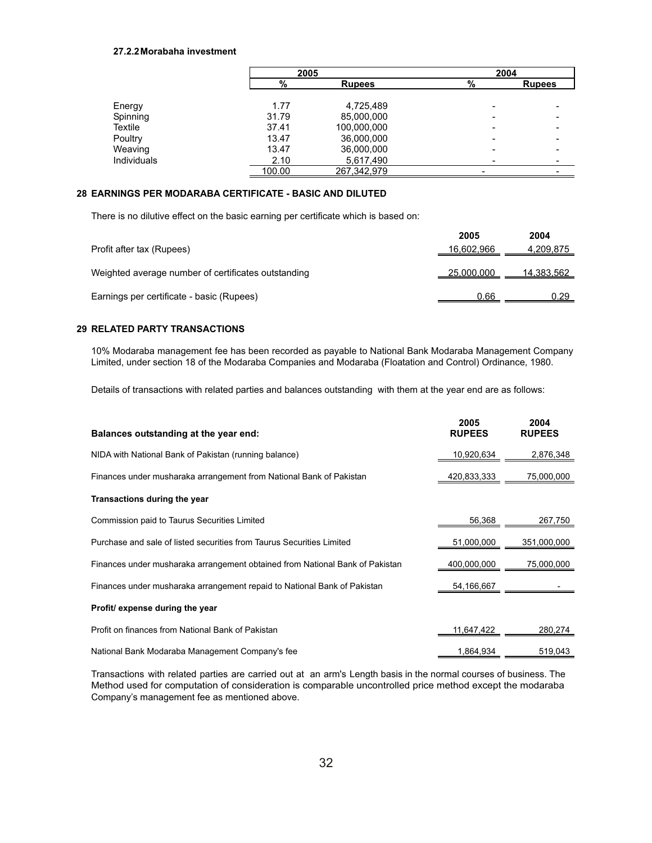## **27.2.2Morabaha investment**

|             | 2005   |               | 2004 |               |
|-------------|--------|---------------|------|---------------|
|             | %      | <b>Rupees</b> | %    | <b>Rupees</b> |
|             |        |               |      |               |
| Energy      | 1.77   | 4,725,489     |      |               |
| Spinning    | 31.79  | 85,000,000    |      |               |
| Textile     | 37.41  | 100,000,000   |      |               |
| Poultry     | 13.47  | 36,000,000    |      |               |
| Weaving     | 13.47  | 36,000,000    |      |               |
| Individuals | 2.10   | 5,617,490     |      |               |
|             | 100.00 | 267.342.979   |      |               |

# **28 EARNINGS PER MODARABA CERTIFICATE - BASIC AND DILUTED**

There is no dilutive effect on the basic earning per certificate which is based on:

|                                                     | 2005       | 2004       |
|-----------------------------------------------------|------------|------------|
| Profit after tax (Rupees)                           | 16,602,966 | 4,209,875  |
|                                                     |            |            |
| Weighted average number of certificates outstanding | 25,000,000 | 14,383,562 |
| Earnings per certificate - basic (Rupees)           | 0.66       | 0.29       |
|                                                     |            |            |

# **29 RELATED PARTY TRANSACTIONS**

10% Modaraba management fee has been recorded as payable to National Bank Modaraba Management Company Limited, under section 18 of the Modaraba Companies and Modaraba (Floatation and Control) Ordinance, 1980.

Details of transactions with related parties and balances outstanding with them at the year end are as follows:

| Balances outstanding at the year end:                                        | 2005<br><b>RUPEES</b> | 2004<br><b>RUPEES</b> |
|------------------------------------------------------------------------------|-----------------------|-----------------------|
| NIDA with National Bank of Pakistan (running balance)                        | 10,920,634            | 2,876,348             |
| Finances under musharaka arrangement from National Bank of Pakistan          | 420,833,333           | 75,000,000            |
| Transactions during the year                                                 |                       |                       |
| Commission paid to Taurus Securities Limited                                 | 56,368                | 267,750               |
| Purchase and sale of listed securities from Taurus Securities Limited        | 51,000,000            | 351,000,000           |
| Finances under musharaka arrangement obtained from National Bank of Pakistan | 400,000,000           | 75,000,000            |
| Finances under musharaka arrangement repaid to National Bank of Pakistan     | 54,166,667            |                       |
| Profit/ expense during the year                                              |                       |                       |
| Profit on finances from National Bank of Pakistan                            | 11,647,422            | 280,274               |
| National Bank Modaraba Management Company's fee                              | 1,864,934             | 519,043               |

Transactions with related parties are carried out at an arm's Length basis in the normal courses of business. The Method used for computation of consideration is comparable uncontrolled price method except the modaraba Company's management fee as mentioned above.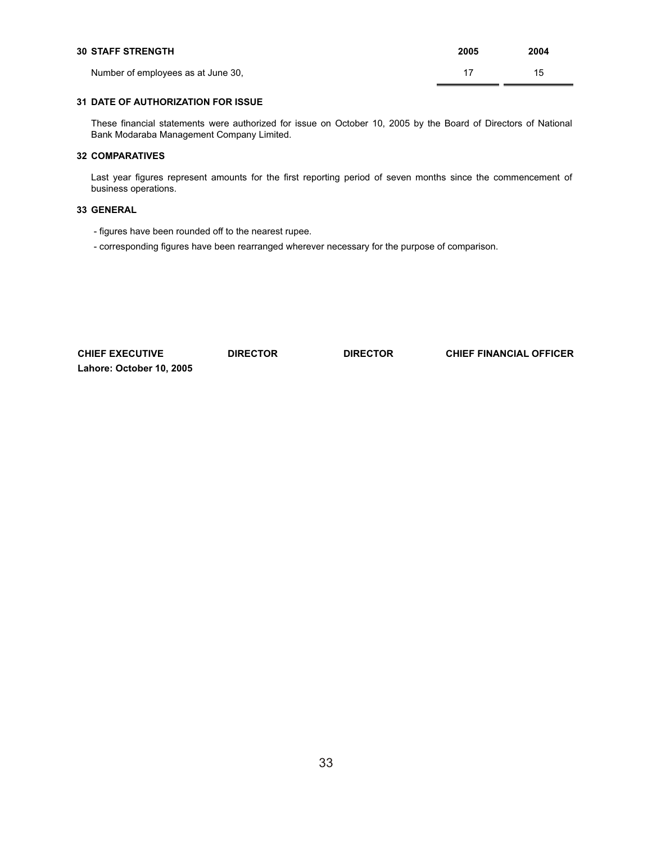| <b>30 STAFF STRENGTH</b>           | 2005 | 2004 |
|------------------------------------|------|------|
| Number of employees as at June 30, |      | 15   |

## **31 DATE OF AUTHORIZATION FOR ISSUE**

These financial statements were authorized for issue on October 10, 2005 by the Board of Directors of National Bank Modaraba Management Company Limited.

# **32 COMPARATIVES**

Last year figures represent amounts for the first reporting period of seven months since the commencement of business operations.

# **33 GENERAL**

- figures have been rounded off to the nearest rupee.

- corresponding figures have been rearranged wherever necessary for the purpose of comparison.

| <b>CHIEF EXECUTIVE</b>   | <b>DIRECTOR</b> | <b>DIRECTOR</b> | <b>CHIEF FINANCIAL OFFICER</b> |
|--------------------------|-----------------|-----------------|--------------------------------|
| Lahore: October 10, 2005 |                 |                 |                                |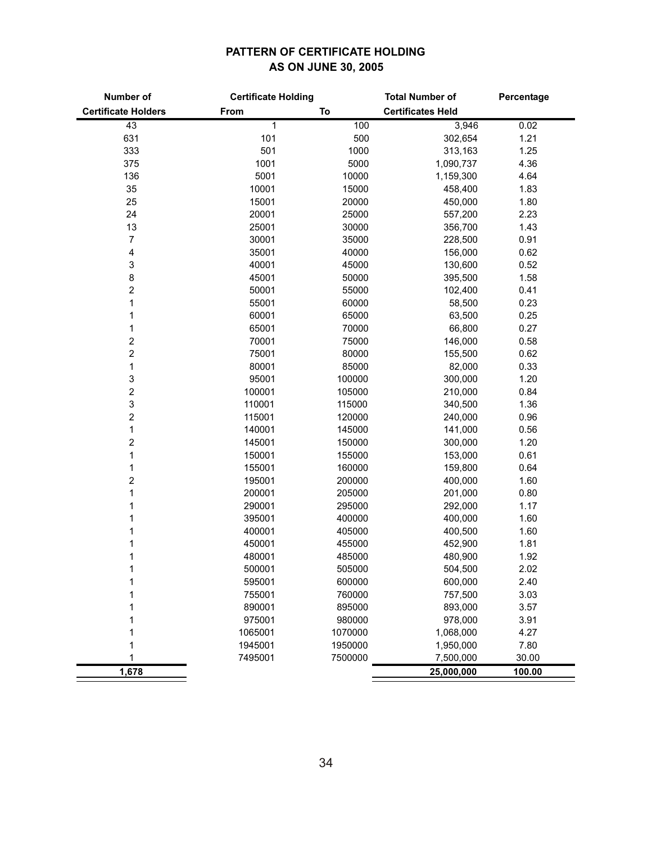# **PATTERN OF CERTIFICATE HOLDING AS ON JUNE 30, 2005**

| Number of                  | <b>Certificate Holding</b> |         | <b>Total Number of</b>   | Percentage |
|----------------------------|----------------------------|---------|--------------------------|------------|
| <b>Certificate Holders</b> | From                       | To      | <b>Certificates Held</b> |            |
| 43                         | 1                          | 100     | 3,946                    | 0.02       |
| 631                        | 101                        | 500     | 302,654                  | 1.21       |
| 333                        | 501                        | 1000    | 313,163                  | 1.25       |
| 375                        | 1001                       | 5000    | 1,090,737                | 4.36       |
| 136                        | 5001                       | 10000   | 1,159,300                | 4.64       |
| 35                         | 10001                      | 15000   | 458,400                  | 1.83       |
| 25                         | 15001                      | 20000   | 450,000                  | 1.80       |
| 24                         | 20001                      | 25000   | 557,200                  | 2.23       |
| 13                         | 25001                      | 30000   | 356,700                  | 1.43       |
| 7                          | 30001                      | 35000   | 228,500                  | 0.91       |
| 4                          | 35001                      | 40000   | 156,000                  | 0.62       |
| 3                          | 40001                      | 45000   | 130,600                  | 0.52       |
| 8                          | 45001                      | 50000   | 395,500                  | 1.58       |
| $\boldsymbol{2}$           | 50001                      | 55000   | 102,400                  | 0.41       |
| 1                          | 55001                      | 60000   | 58,500                   | 0.23       |
| 1                          | 60001                      | 65000   | 63,500                   | 0.25       |
| 1                          | 65001                      | 70000   | 66,800                   | 0.27       |
| $\overline{\mathbf{c}}$    | 70001                      | 75000   | 146,000                  | 0.58       |
| 2                          | 75001                      | 80000   | 155,500                  | 0.62       |
| 1                          | 80001                      | 85000   | 82,000                   | 0.33       |
| 3                          | 95001                      | 100000  | 300,000                  | 1.20       |
| $\boldsymbol{2}$           | 100001                     | 105000  | 210,000                  | 0.84       |
| $\ensuremath{\mathsf{3}}$  | 110001                     | 115000  | 340,500                  | 1.36       |
| $\boldsymbol{2}$           | 115001                     | 120000  | 240,000                  | 0.96       |
| 1                          | 140001                     | 145000  | 141,000                  | 0.56       |
| $\overline{\mathbf{c}}$    | 145001                     | 150000  | 300,000                  | 1.20       |
| 1                          | 150001                     | 155000  | 153,000                  | 0.61       |
| 1                          | 155001                     | 160000  | 159,800                  | 0.64       |
| $\boldsymbol{2}$           | 195001                     | 200000  | 400,000                  | 1.60       |
| 1                          | 200001                     | 205000  | 201,000                  | 0.80       |
| 1                          | 290001                     | 295000  | 292,000                  | 1.17       |
| 1                          | 395001                     | 400000  | 400,000                  | 1.60       |
| 1                          | 400001                     | 405000  | 400,500                  | 1.60       |
| 1                          | 450001                     | 455000  | 452,900                  | 1.81       |
| 1                          | 480001                     | 485000  | 480,900                  | 1.92       |
| 1                          | 500001                     | 505000  | 504,500                  | 2.02       |
| 1                          | 595001                     | 600000  | 600,000                  | 2.40       |
| 1                          | 755001                     | 760000  | 757,500                  | 3.03       |
| 1                          | 890001                     | 895000  | 893,000                  | 3.57       |
| 1                          | 975001                     | 980000  | 978,000                  | 3.91       |
| 1                          | 1065001                    | 1070000 | 1,068,000                | 4.27       |
| 1                          | 1945001                    | 1950000 | 1,950,000                | 7.80       |
| 1                          | 7495001                    | 7500000 | 7,500,000                | 30.00      |
| 1,678                      |                            |         | 25,000,000               | 100.00     |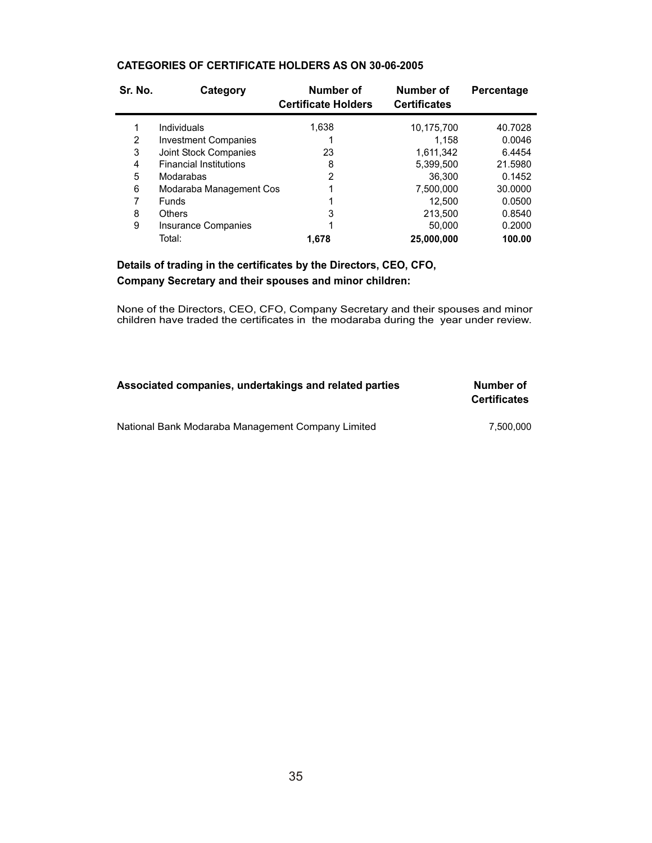| Sr. No. | Category                      | Number of<br><b>Certificate Holders</b> | Number of<br><b>Certificates</b> | Percentage |
|---------|-------------------------------|-----------------------------------------|----------------------------------|------------|
|         | Individuals                   | 1,638                                   | 10,175,700                       | 40.7028    |
| 2       | <b>Investment Companies</b>   |                                         | 1.158                            | 0.0046     |
| 3       | Joint Stock Companies         | 23                                      | 1,611,342                        | 6.4454     |
| 4       | <b>Financial Institutions</b> | 8                                       | 5,399,500                        | 21.5980    |
| 5       | Modarabas                     | $\overline{2}$                          | 36,300                           | 0.1452     |
| 6       | Modaraba Management Cos       |                                         | 7,500,000                        | 30,0000    |
|         | <b>Funds</b>                  |                                         | 12.500                           | 0.0500     |
| 8       | Others                        | 3                                       | 213,500                          | 0.8540     |
| 9       | <b>Insurance Companies</b>    |                                         | 50,000                           | 0.2000     |
|         | Total:                        | 1.678                                   | 25,000,000                       | 100.00     |

# **CATEGORIES OF CERTIFICATE HOLDERS AS ON 30-06-2005**

**Details of trading in the certificates by the Directors, CEO, CFO, Company Secretary and their spouses and minor children:**

None of the Directors, CEO, CFO, Company Secretary and their spouses and minor children have traded the certificates in the modaraba during the year under review.

| Associated companies, undertakings and related parties | Number of<br><b>Certificates</b> |
|--------------------------------------------------------|----------------------------------|
| National Bank Modaraba Management Company Limited      | 7.500.000                        |